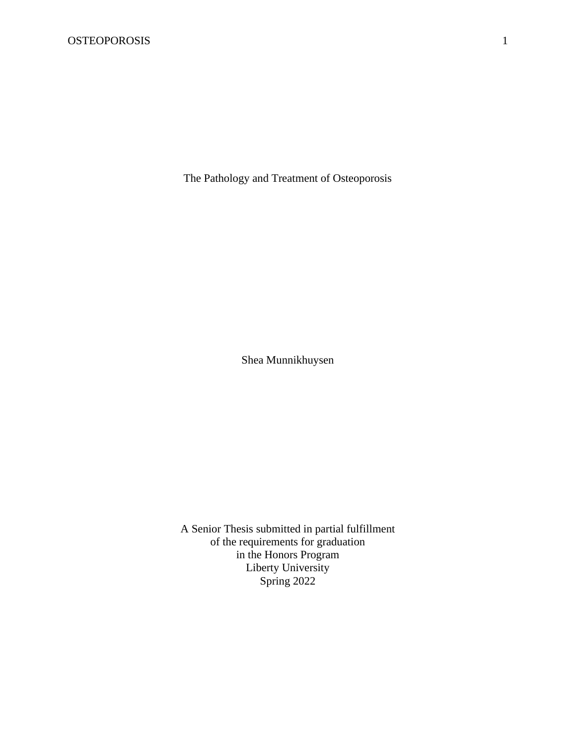The Pathology and Treatment of Osteoporosis

Shea Munnikhuysen

A Senior Thesis submitted in partial fulfillment of the requirements for graduation in the Honors Program Liberty University Spring 2022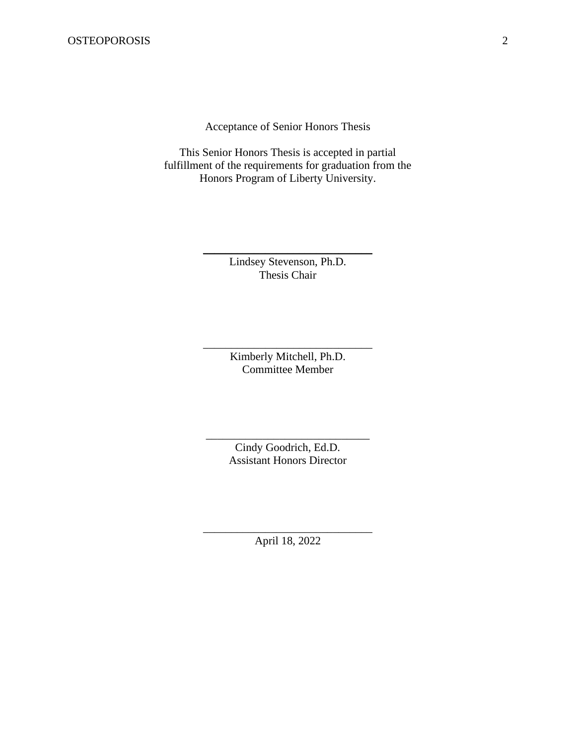Acceptance of Senior Honors Thesis

This Senior Honors Thesis is accepted in partial fulfillment of the requirements for graduation from the Honors Program of Liberty University.

> Lindsey Stevenson, Ph.D. Thesis Chair

\_\_\_\_\_\_\_\_\_\_\_\_\_\_\_\_\_\_\_\_\_\_\_\_\_\_\_\_\_\_

Kimberly Mitchell, Ph.D. Committee Member

\_\_\_\_\_\_\_\_\_\_\_\_\_\_\_\_\_\_\_\_\_\_\_\_\_\_\_\_\_\_

Cindy Goodrich, Ed.D. Assistant Honors Director

\_\_\_\_\_\_\_\_\_\_\_\_\_\_\_\_\_\_\_\_\_\_\_\_\_\_\_\_\_

\_\_\_\_\_\_\_\_\_\_\_\_\_\_\_\_\_\_\_\_\_\_\_\_\_\_\_\_\_\_ April 18, 2022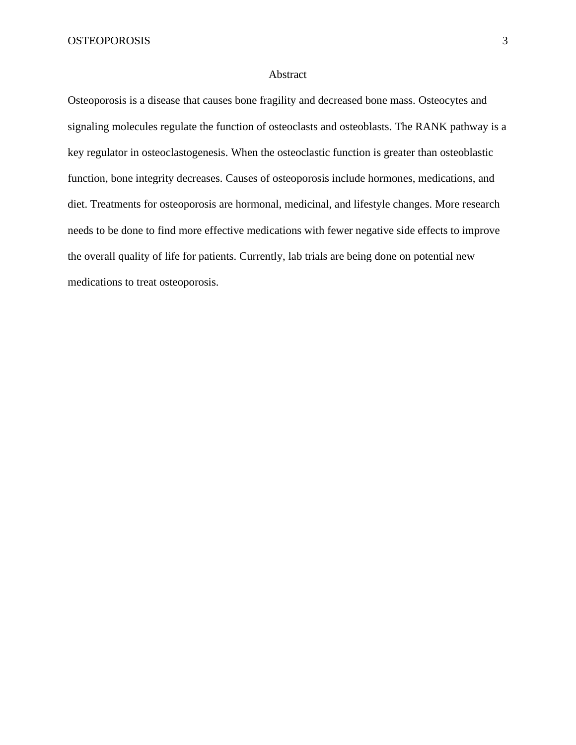#### Abstract

Osteoporosis is a disease that causes bone fragility and decreased bone mass. Osteocytes and signaling molecules regulate the function of osteoclasts and osteoblasts. The RANK pathway is a key regulator in osteoclastogenesis. When the osteoclastic function is greater than osteoblastic function, bone integrity decreases. Causes of osteoporosis include hormones, medications, and diet. Treatments for osteoporosis are hormonal, medicinal, and lifestyle changes. More research needs to be done to find more effective medications with fewer negative side effects to improve the overall quality of life for patients. Currently, lab trials are being done on potential new medications to treat osteoporosis.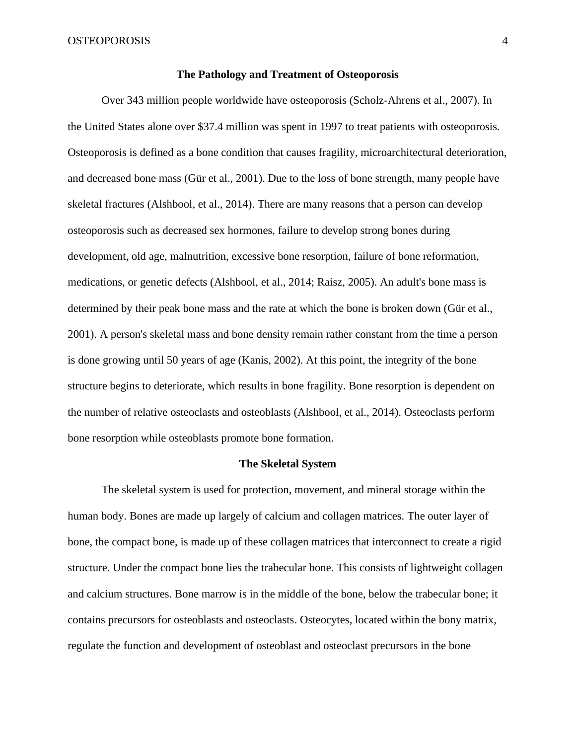#### **The Pathology and Treatment of Osteoporosis**

Over 343 million people worldwide have osteoporosis (Scholz-Ahrens et al., 2007). In the United States alone over \$37.4 million was spent in 1997 to treat patients with osteoporosis. Osteoporosis is defined as a bone condition that causes fragility, microarchitectural deterioration, and decreased bone mass (Gür et al., 2001). Due to the loss of bone strength, many people have skeletal fractures (Alshbool, et al., 2014). There are many reasons that a person can develop osteoporosis such as decreased sex hormones, failure to develop strong bones during development, old age, malnutrition, excessive bone resorption, failure of bone reformation, medications, or genetic defects (Alshbool, et al., 2014; Raisz, 2005). An adult's bone mass is determined by their peak bone mass and the rate at which the bone is broken down (Gür et al., 2001). A person's skeletal mass and bone density remain rather constant from the time a person is done growing until 50 years of age (Kanis, 2002). At this point, the integrity of the bone structure begins to deteriorate, which results in bone fragility. Bone resorption is dependent on the number of relative osteoclasts and osteoblasts (Alshbool, et al., 2014). Osteoclasts perform bone resorption while osteoblasts promote bone formation.

#### **The Skeletal System**

The skeletal system is used for protection, movement, and mineral storage within the human body. Bones are made up largely of calcium and collagen matrices. The outer layer of bone, the compact bone, is made up of these collagen matrices that interconnect to create a rigid structure. Under the compact bone lies the trabecular bone. This consists of lightweight collagen and calcium structures. Bone marrow is in the middle of the bone, below the trabecular bone; it contains precursors for osteoblasts and osteoclasts. Osteocytes, located within the bony matrix, regulate the function and development of osteoblast and osteoclast precursors in the bone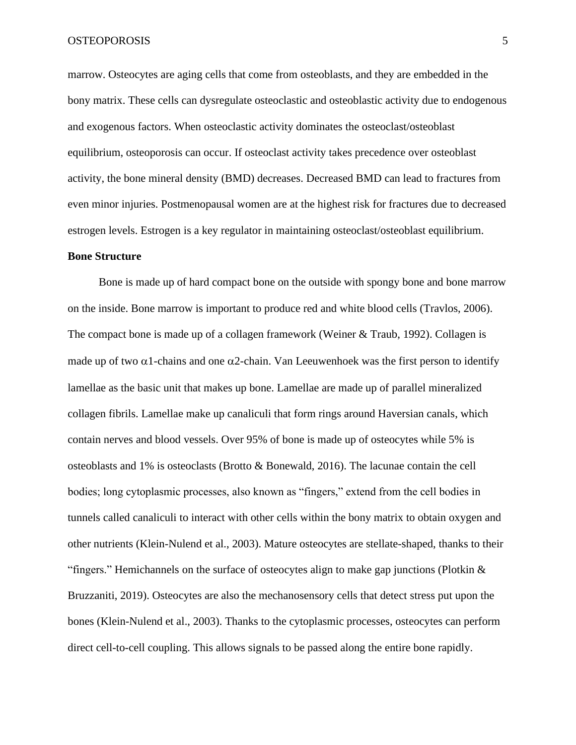marrow. Osteocytes are aging cells that come from osteoblasts, and they are embedded in the bony matrix. These cells can dysregulate osteoclastic and osteoblastic activity due to endogenous and exogenous factors. When osteoclastic activity dominates the osteoclast/osteoblast equilibrium, osteoporosis can occur. If osteoclast activity takes precedence over osteoblast activity, the bone mineral density (BMD) decreases. Decreased BMD can lead to fractures from even minor injuries. Postmenopausal women are at the highest risk for fractures due to decreased estrogen levels. Estrogen is a key regulator in maintaining osteoclast/osteoblast equilibrium.

#### **Bone Structure**

Bone is made up of hard compact bone on the outside with spongy bone and bone marrow on the inside. Bone marrow is important to produce red and white blood cells (Travlos, 2006). The compact bone is made up of a collagen framework (Weiner & Traub, 1992). Collagen is made up of two  $\alpha$ 1-chains and one  $\alpha$ 2-chain. Van Leeuwenhoek was the first person to identify lamellae as the basic unit that makes up bone. Lamellae are made up of parallel mineralized collagen fibrils. Lamellae make up canaliculi that form rings around Haversian canals, which contain nerves and blood vessels. Over 95% of bone is made up of osteocytes while 5% is osteoblasts and 1% is osteoclasts (Brotto & Bonewald, 2016). The lacunae contain the cell bodies; long cytoplasmic processes, also known as "fingers," extend from the cell bodies in tunnels called canaliculi to interact with other cells within the bony matrix to obtain oxygen and other nutrients (Klein-Nulend et al., 2003). Mature osteocytes are stellate-shaped, thanks to their "fingers." Hemichannels on the surface of osteocytes align to make gap junctions (Plotkin & Bruzzaniti, 2019). Osteocytes are also the mechanosensory cells that detect stress put upon the bones (Klein-Nulend et al., 2003). Thanks to the cytoplasmic processes, osteocytes can perform direct cell-to-cell coupling. This allows signals to be passed along the entire bone rapidly.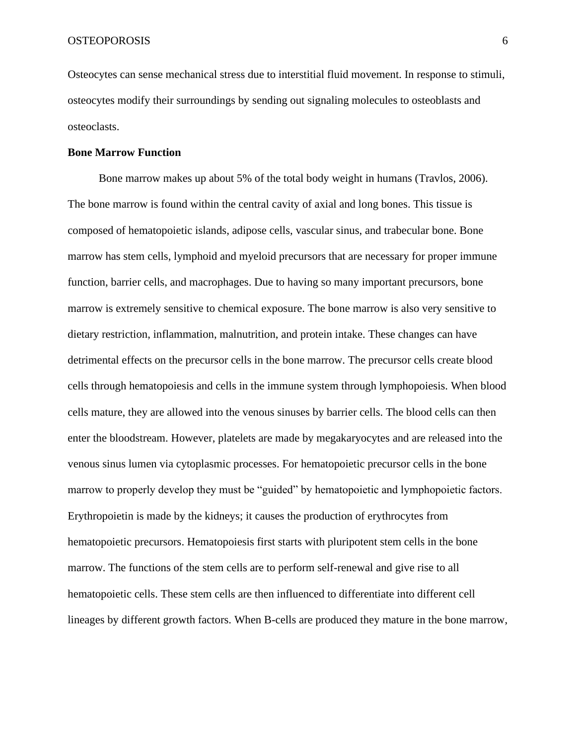Osteocytes can sense mechanical stress due to interstitial fluid movement. In response to stimuli, osteocytes modify their surroundings by sending out signaling molecules to osteoblasts and osteoclasts.

## **Bone Marrow Function**

Bone marrow makes up about 5% of the total body weight in humans (Travlos, 2006). The bone marrow is found within the central cavity of axial and long bones. This tissue is composed of hematopoietic islands, adipose cells, vascular sinus, and trabecular bone. Bone marrow has stem cells, lymphoid and myeloid precursors that are necessary for proper immune function, barrier cells, and macrophages. Due to having so many important precursors, bone marrow is extremely sensitive to chemical exposure. The bone marrow is also very sensitive to dietary restriction, inflammation, malnutrition, and protein intake. These changes can have detrimental effects on the precursor cells in the bone marrow. The precursor cells create blood cells through hematopoiesis and cells in the immune system through lymphopoiesis. When blood cells mature, they are allowed into the venous sinuses by barrier cells. The blood cells can then enter the bloodstream. However, platelets are made by megakaryocytes and are released into the venous sinus lumen via cytoplasmic processes. For hematopoietic precursor cells in the bone marrow to properly develop they must be "guided" by hematopoietic and lymphopoietic factors. Erythropoietin is made by the kidneys; it causes the production of erythrocytes from hematopoietic precursors. Hematopoiesis first starts with pluripotent stem cells in the bone marrow. The functions of the stem cells are to perform self-renewal and give rise to all hematopoietic cells. These stem cells are then influenced to differentiate into different cell lineages by different growth factors. When B-cells are produced they mature in the bone marrow,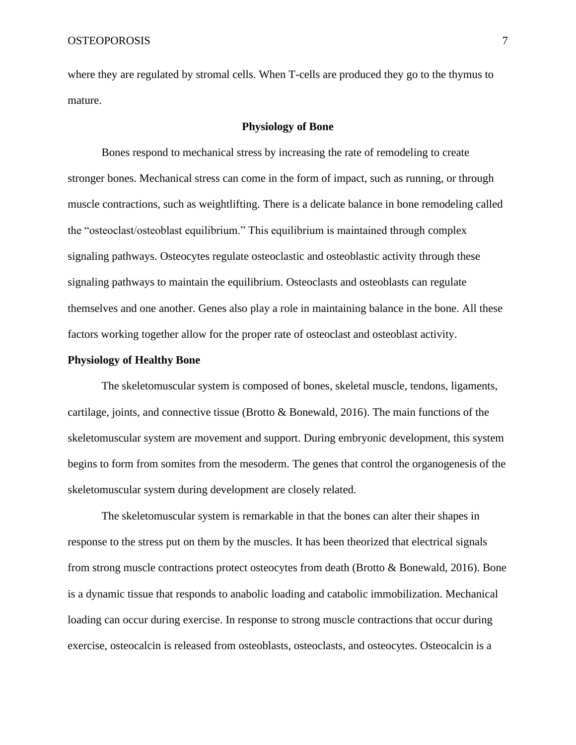where they are regulated by stromal cells. When T-cells are produced they go to the thymus to mature.

### **Physiology of Bone**

Bones respond to mechanical stress by increasing the rate of remodeling to create stronger bones. Mechanical stress can come in the form of impact, such as running, or through muscle contractions, such as weightlifting. There is a delicate balance in bone remodeling called the "osteoclast/osteoblast equilibrium." This equilibrium is maintained through complex signaling pathways. Osteocytes regulate osteoclastic and osteoblastic activity through these signaling pathways to maintain the equilibrium. Osteoclasts and osteoblasts can regulate themselves and one another. Genes also play a role in maintaining balance in the bone. All these factors working together allow for the proper rate of osteoclast and osteoblast activity.

## **Physiology of Healthy Bone**

The skeletomuscular system is composed of bones, skeletal muscle, tendons, ligaments, cartilage, joints, and connective tissue (Brotto & Bonewald, 2016). The main functions of the skeletomuscular system are movement and support. During embryonic development, this system begins to form from somites from the mesoderm. The genes that control the organogenesis of the skeletomuscular system during development are closely related.

The skeletomuscular system is remarkable in that the bones can alter their shapes in response to the stress put on them by the muscles. It has been theorized that electrical signals from strong muscle contractions protect osteocytes from death (Brotto & Bonewald, 2016). Bone is a dynamic tissue that responds to anabolic loading and catabolic immobilization. Mechanical loading can occur during exercise. In response to strong muscle contractions that occur during exercise, osteocalcin is released from osteoblasts, osteoclasts, and osteocytes. Osteocalcin is a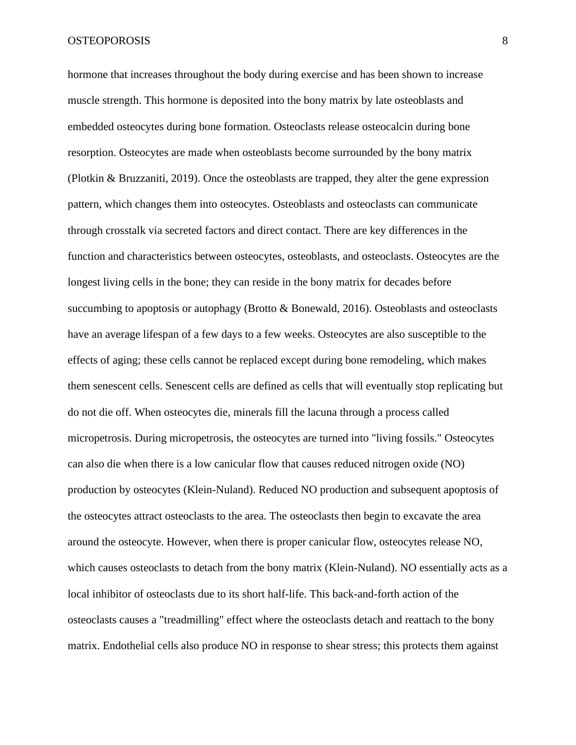hormone that increases throughout the body during exercise and has been shown to increase muscle strength. This hormone is deposited into the bony matrix by late osteoblasts and embedded osteocytes during bone formation. Osteoclasts release osteocalcin during bone resorption. Osteocytes are made when osteoblasts become surrounded by the bony matrix (Plotkin & Bruzzaniti, 2019). Once the osteoblasts are trapped, they alter the gene expression pattern, which changes them into osteocytes. Osteoblasts and osteoclasts can communicate through crosstalk via secreted factors and direct contact. There are key differences in the function and characteristics between osteocytes, osteoblasts, and osteoclasts. Osteocytes are the longest living cells in the bone; they can reside in the bony matrix for decades before succumbing to apoptosis or autophagy (Brotto & Bonewald, 2016). Osteoblasts and osteoclasts have an average lifespan of a few days to a few weeks. Osteocytes are also susceptible to the effects of aging; these cells cannot be replaced except during bone remodeling, which makes them senescent cells. Senescent cells are defined as cells that will eventually stop replicating but do not die off. When osteocytes die, minerals fill the lacuna through a process called micropetrosis. During micropetrosis, the osteocytes are turned into "living fossils." Osteocytes can also die when there is a low canicular flow that causes reduced nitrogen oxide (NO) production by osteocytes (Klein-Nuland). Reduced NO production and subsequent apoptosis of the osteocytes attract osteoclasts to the area. The osteoclasts then begin to excavate the area around the osteocyte. However, when there is proper canicular flow, osteocytes release NO, which causes osteoclasts to detach from the bony matrix (Klein-Nuland). NO essentially acts as a local inhibitor of osteoclasts due to its short half-life. This back-and-forth action of the osteoclasts causes a "treadmilling" effect where the osteoclasts detach and reattach to the bony matrix. Endothelial cells also produce NO in response to shear stress; this protects them against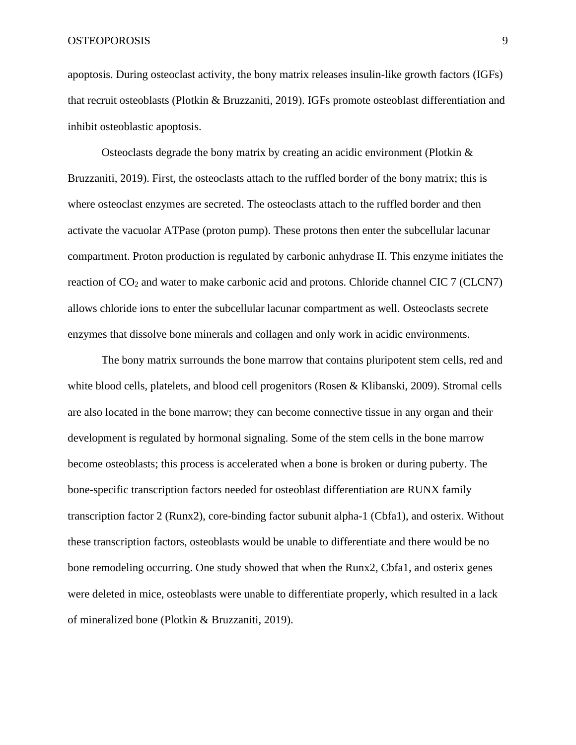apoptosis. During osteoclast activity, the bony matrix releases insulin-like growth factors (IGFs) that recruit osteoblasts (Plotkin & Bruzzaniti, 2019). IGFs promote osteoblast differentiation and inhibit osteoblastic apoptosis.

Osteoclasts degrade the bony matrix by creating an acidic environment (Plotkin & Bruzzaniti, 2019). First, the osteoclasts attach to the ruffled border of the bony matrix; this is where osteoclast enzymes are secreted. The osteoclasts attach to the ruffled border and then activate the vacuolar ATPase (proton pump). These protons then enter the subcellular lacunar compartment. Proton production is regulated by carbonic anhydrase II. This enzyme initiates the reaction of CO<sub>2</sub> and water to make carbonic acid and protons. Chloride channel CIC 7 (CLCN7) allows chloride ions to enter the subcellular lacunar compartment as well. Osteoclasts secrete enzymes that dissolve bone minerals and collagen and only work in acidic environments.

The bony matrix surrounds the bone marrow that contains pluripotent stem cells, red and white blood cells, platelets, and blood cell progenitors (Rosen & Klibanski, 2009). Stromal cells are also located in the bone marrow; they can become connective tissue in any organ and their development is regulated by hormonal signaling. Some of the stem cells in the bone marrow become osteoblasts; this process is accelerated when a bone is broken or during puberty. The bone-specific transcription factors needed for osteoblast differentiation are RUNX family transcription factor 2 (Runx2), core-binding factor subunit alpha-1 (Cbfa1), and osterix. Without these transcription factors, osteoblasts would be unable to differentiate and there would be no bone remodeling occurring. One study showed that when the Runx2, Cbfa1, and osterix genes were deleted in mice, osteoblasts were unable to differentiate properly, which resulted in a lack of mineralized bone (Plotkin & Bruzzaniti, 2019).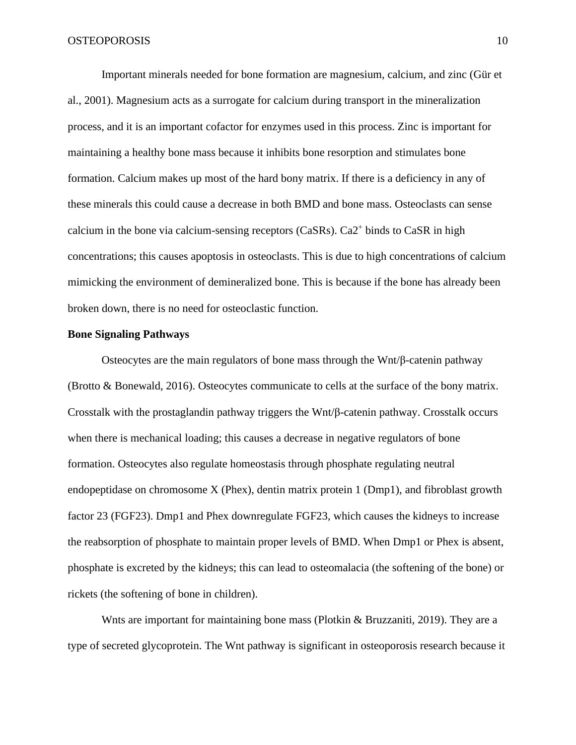Important minerals needed for bone formation are magnesium, calcium, and zinc (Gür et al., 2001). Magnesium acts as a surrogate for calcium during transport in the mineralization process, and it is an important cofactor for enzymes used in this process. Zinc is important for maintaining a healthy bone mass because it inhibits bone resorption and stimulates bone formation. Calcium makes up most of the hard bony matrix. If there is a deficiency in any of these minerals this could cause a decrease in both BMD and bone mass. Osteoclasts can sense calcium in the bone via calcium-sensing receptors (CaSRs). Ca2<sup>+</sup> binds to CaSR in high concentrations; this causes apoptosis in osteoclasts. This is due to high concentrations of calcium mimicking the environment of demineralized bone. This is because if the bone has already been broken down, there is no need for osteoclastic function.

#### **Bone Signaling Pathways**

Osteocytes are the main regulators of bone mass through the Wnt/ $\beta$ -catenin pathway (Brotto & Bonewald, 2016). Osteocytes communicate to cells at the surface of the bony matrix. Crosstalk with the prostaglandin pathway triggers the Wnt/β-catenin pathway. Crosstalk occurs when there is mechanical loading; this causes a decrease in negative regulators of bone formation. Osteocytes also regulate homeostasis through phosphate regulating neutral endopeptidase on chromosome X (Phex), dentin matrix protein 1 (Dmp1), and fibroblast growth factor 23 (FGF23). Dmp1 and Phex downregulate FGF23, which causes the kidneys to increase the reabsorption of phosphate to maintain proper levels of BMD. When Dmp1 or Phex is absent, phosphate is excreted by the kidneys; this can lead to osteomalacia (the softening of the bone) or rickets (the softening of bone in children).

Wnts are important for maintaining bone mass (Plotkin & Bruzzaniti, 2019). They are a type of secreted glycoprotein. The Wnt pathway is significant in osteoporosis research because it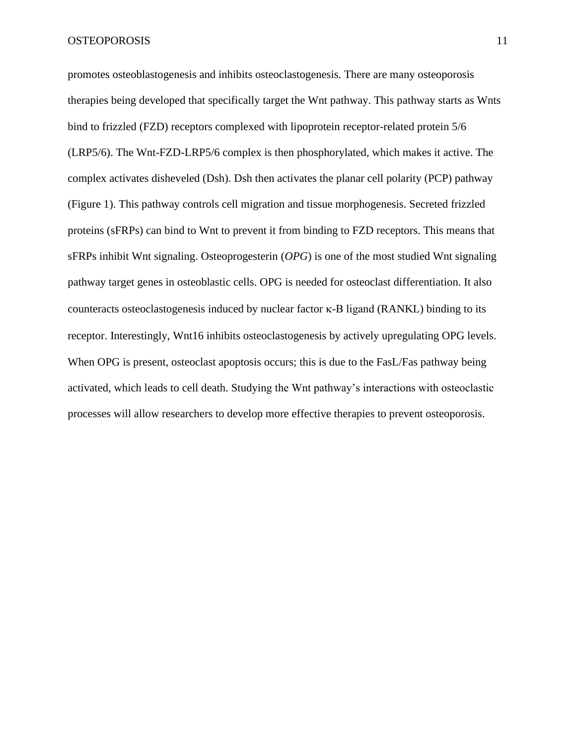promotes osteoblastogenesis and inhibits osteoclastogenesis. There are many osteoporosis therapies being developed that specifically target the Wnt pathway. This pathway starts as Wnts bind to frizzled (FZD) receptors complexed with lipoprotein receptor-related protein 5/6 (LRP5/6). The Wnt-FZD-LRP5/6 complex is then phosphorylated, which makes it active. The complex activates disheveled (Dsh). Dsh then activates the planar cell polarity (PCP) pathway (Figure 1). This pathway controls cell migration and tissue morphogenesis. Secreted frizzled proteins (sFRPs) can bind to Wnt to prevent it from binding to FZD receptors. This means that sFRPs inhibit Wnt signaling. Osteoprogesterin (*OPG*) is one of the most studied Wnt signaling pathway target genes in osteoblastic cells. OPG is needed for osteoclast differentiation. It also counteracts osteoclastogenesis induced by nuclear factor κ-B ligand (RANKL) binding to its receptor. Interestingly, Wnt16 inhibits osteoclastogenesis by actively upregulating OPG levels. When OPG is present, osteoclast apoptosis occurs; this is due to the FasL/Fas pathway being activated, which leads to cell death. Studying the Wnt pathway's interactions with osteoclastic processes will allow researchers to develop more effective therapies to prevent osteoporosis.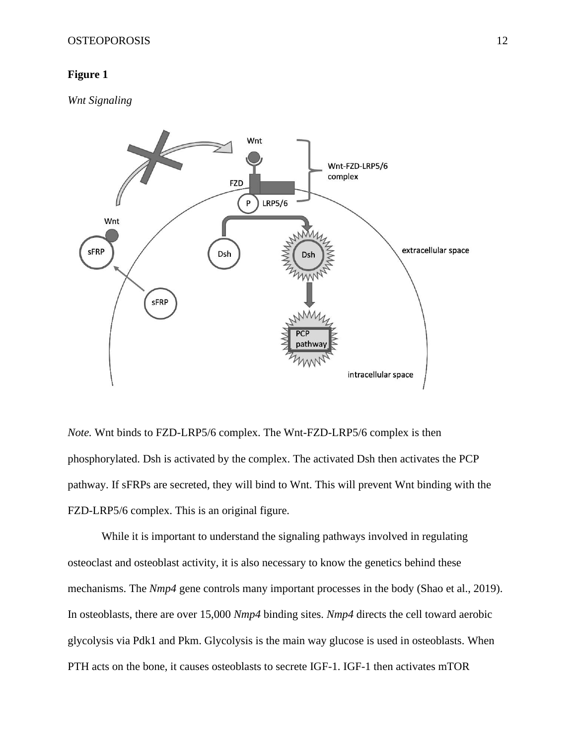# **Figure 1**

*Wnt Signaling*



*Note.* Wnt binds to FZD-LRP5/6 complex. The Wnt-FZD-LRP5/6 complex is then phosphorylated. Dsh is activated by the complex. The activated Dsh then activates the PCP pathway. If sFRPs are secreted, they will bind to Wnt. This will prevent Wnt binding with the FZD-LRP5/6 complex. This is an original figure.

While it is important to understand the signaling pathways involved in regulating osteoclast and osteoblast activity, it is also necessary to know the genetics behind these mechanisms. The *Nmp4* gene controls many important processes in the body (Shao et al., 2019). In osteoblasts, there are over 15,000 *Nmp4* binding sites. *Nmp4* directs the cell toward aerobic glycolysis via Pdk1 and Pkm. Glycolysis is the main way glucose is used in osteoblasts. When PTH acts on the bone, it causes osteoblasts to secrete IGF-1. IGF-1 then activates mTOR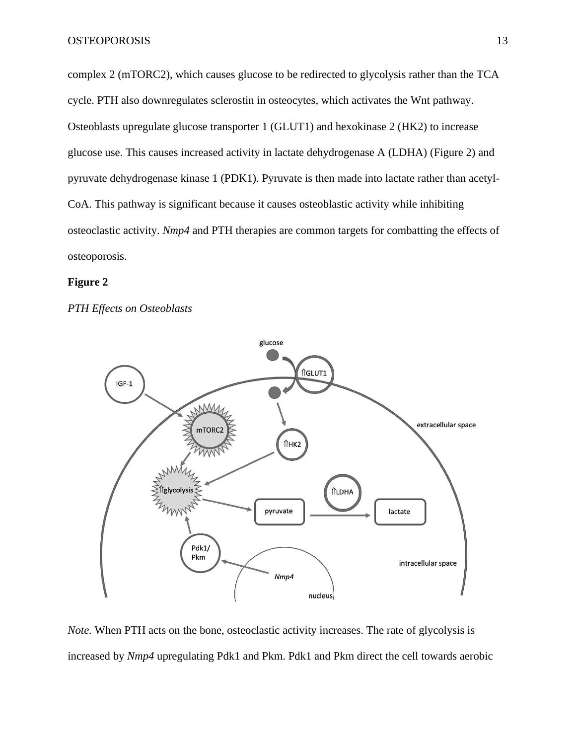complex 2 (mTORC2), which causes glucose to be redirected to glycolysis rather than the TCA cycle. PTH also downregulates sclerostin in osteocytes, which activates the Wnt pathway. Osteoblasts upregulate glucose transporter 1 (GLUT1) and hexokinase 2 (HK2) to increase glucose use. This causes increased activity in lactate dehydrogenase A (LDHA) (Figure 2) and pyruvate dehydrogenase kinase 1 (PDK1). Pyruvate is then made into lactate rather than acetyl-CoA. This pathway is significant because it causes osteoblastic activity while inhibiting osteoclastic activity. *Nmp4* and PTH therapies are common targets for combatting the effects of osteoporosis.

## **Figure 2**

*PTH Effects on Osteoblasts*



*Note.* When PTH acts on the bone, osteoclastic activity increases. The rate of glycolysis is increased by *Nmp4* upregulating Pdk1 and Pkm. Pdk1 and Pkm direct the cell towards aerobic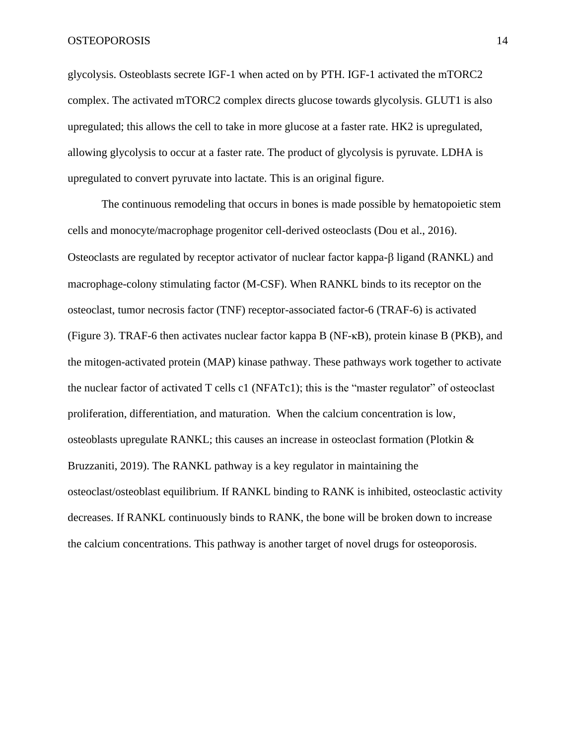glycolysis. Osteoblasts secrete IGF-1 when acted on by PTH. IGF-1 activated the mTORC2 complex. The activated mTORC2 complex directs glucose towards glycolysis. GLUT1 is also upregulated; this allows the cell to take in more glucose at a faster rate. HK2 is upregulated, allowing glycolysis to occur at a faster rate. The product of glycolysis is pyruvate. LDHA is upregulated to convert pyruvate into lactate. This is an original figure.

The continuous remodeling that occurs in bones is made possible by hematopoietic stem cells and monocyte/macrophage progenitor cell-derived osteoclasts (Dou et al., 2016). Osteoclasts are regulated by receptor activator of nuclear factor kappa- $\beta$  ligand (RANKL) and macrophage-colony stimulating factor (M-CSF). When RANKL binds to its receptor on the osteoclast, tumor necrosis factor (TNF) receptor-associated factor-6 (TRAF-6) is activated (Figure 3). TRAF-6 then activates nuclear factor kappa B (NF-κB), protein kinase B (PKB), and the mitogen-activated protein (MAP) kinase pathway. These pathways work together to activate the nuclear factor of activated T cells c1 (NFATc1); this is the "master regulator" of osteoclast proliferation, differentiation, and maturation. When the calcium concentration is low, osteoblasts upregulate RANKL; this causes an increase in osteoclast formation (Plotkin & Bruzzaniti, 2019). The RANKL pathway is a key regulator in maintaining the osteoclast/osteoblast equilibrium. If RANKL binding to RANK is inhibited, osteoclastic activity decreases. If RANKL continuously binds to RANK, the bone will be broken down to increase the calcium concentrations. This pathway is another target of novel drugs for osteoporosis.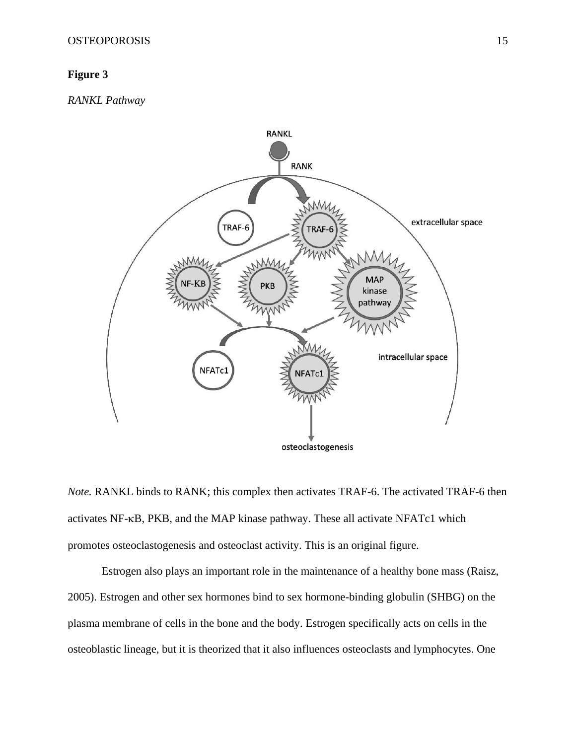# **Figure 3**

*RANKL Pathway* 



*Note.* RANKL binds to RANK; this complex then activates TRAF-6. The activated TRAF-6 then activates NF-KB, PKB, and the MAP kinase pathway. These all activate NFATc1 which promotes osteoclastogenesis and osteoclast activity. This is an original figure.

Estrogen also plays an important role in the maintenance of a healthy bone mass (Raisz, 2005). Estrogen and other sex hormones bind to sex hormone-binding globulin (SHBG) on the plasma membrane of cells in the bone and the body. Estrogen specifically acts on cells in the osteoblastic lineage, but it is theorized that it also influences osteoclasts and lymphocytes. One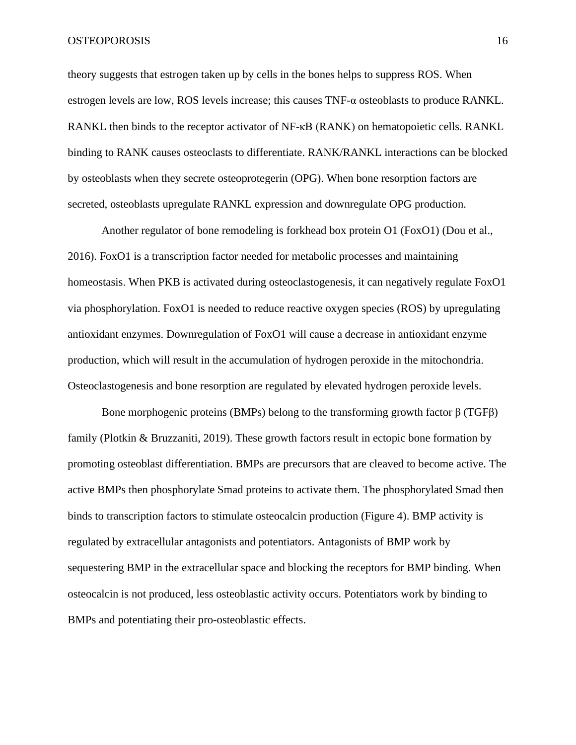theory suggests that estrogen taken up by cells in the bones helps to suppress ROS. When estrogen levels are low, ROS levels increase; this causes TNF-α osteoblasts to produce RANKL. RANKL then binds to the receptor activator of NF-κB (RANK) on hematopoietic cells. RANKL binding to RANK causes osteoclasts to differentiate. RANK/RANKL interactions can be blocked by osteoblasts when they secrete osteoprotegerin (OPG). When bone resorption factors are secreted, osteoblasts upregulate RANKL expression and downregulate OPG production.

Another regulator of bone remodeling is forkhead box protein O1 (FoxO1) (Dou et al., 2016). FoxO1 is a transcription factor needed for metabolic processes and maintaining homeostasis. When PKB is activated during osteoclastogenesis, it can negatively regulate FoxO1 via phosphorylation. FoxO1 is needed to reduce reactive oxygen species (ROS) by upregulating antioxidant enzymes. Downregulation of FoxO1 will cause a decrease in antioxidant enzyme production, which will result in the accumulation of hydrogen peroxide in the mitochondria. Osteoclastogenesis and bone resorption are regulated by elevated hydrogen peroxide levels.

Bone morphogenic proteins (BMPs) belong to the transforming growth factor  $\beta$  (TGF $\beta$ ) family (Plotkin & Bruzzaniti, 2019). These growth factors result in ectopic bone formation by promoting osteoblast differentiation. BMPs are precursors that are cleaved to become active. The active BMPs then phosphorylate Smad proteins to activate them. The phosphorylated Smad then binds to transcription factors to stimulate osteocalcin production (Figure 4). BMP activity is regulated by extracellular antagonists and potentiators. Antagonists of BMP work by sequestering BMP in the extracellular space and blocking the receptors for BMP binding. When osteocalcin is not produced, less osteoblastic activity occurs. Potentiators work by binding to BMPs and potentiating their pro-osteoblastic effects.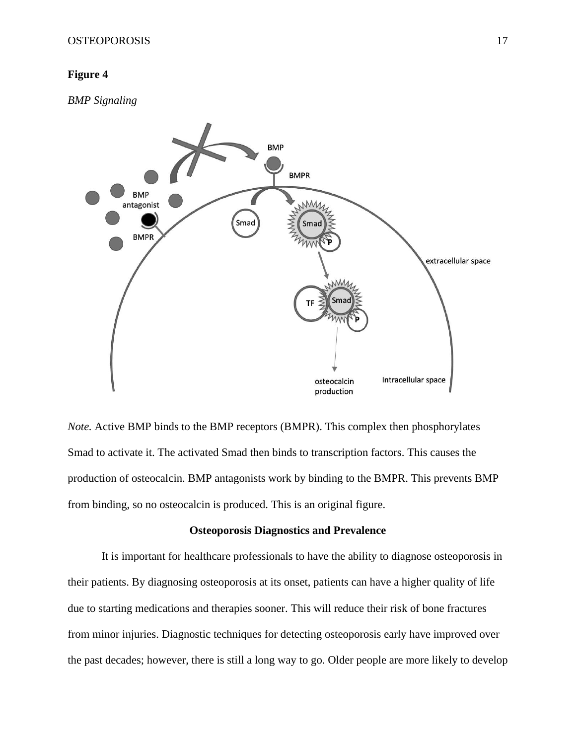# **Figure 4**

*BMP Signaling*



*Note.* Active BMP binds to the BMP receptors (BMPR). This complex then phosphorylates Smad to activate it. The activated Smad then binds to transcription factors. This causes the production of osteocalcin. BMP antagonists work by binding to the BMPR. This prevents BMP from binding, so no osteocalcin is produced. This is an original figure.

## **Osteoporosis Diagnostics and Prevalence**

It is important for healthcare professionals to have the ability to diagnose osteoporosis in their patients. By diagnosing osteoporosis at its onset, patients can have a higher quality of life due to starting medications and therapies sooner. This will reduce their risk of bone fractures from minor injuries. Diagnostic techniques for detecting osteoporosis early have improved over the past decades; however, there is still a long way to go. Older people are more likely to develop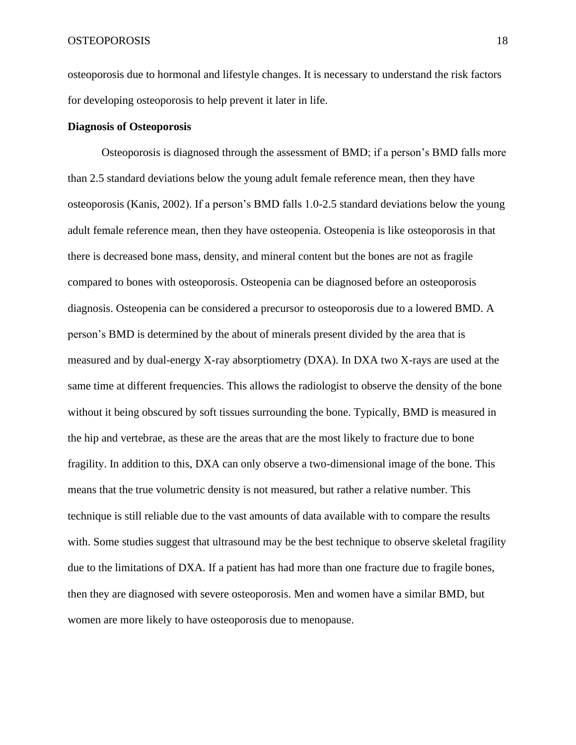osteoporosis due to hormonal and lifestyle changes. It is necessary to understand the risk factors for developing osteoporosis to help prevent it later in life.

## **Diagnosis of Osteoporosis**

Osteoporosis is diagnosed through the assessment of BMD; if a person's BMD falls more than 2.5 standard deviations below the young adult female reference mean, then they have osteoporosis (Kanis, 2002). If a person's BMD falls 1.0-2.5 standard deviations below the young adult female reference mean, then they have osteopenia. Osteopenia is like osteoporosis in that there is decreased bone mass, density, and mineral content but the bones are not as fragile compared to bones with osteoporosis. Osteopenia can be diagnosed before an osteoporosis diagnosis. Osteopenia can be considered a precursor to osteoporosis due to a lowered BMD. A person's BMD is determined by the about of minerals present divided by the area that is measured and by dual-energy X-ray absorptiometry (DXA). In DXA two X-rays are used at the same time at different frequencies. This allows the radiologist to observe the density of the bone without it being obscured by soft tissues surrounding the bone. Typically, BMD is measured in the hip and vertebrae, as these are the areas that are the most likely to fracture due to bone fragility. In addition to this, DXA can only observe a two-dimensional image of the bone. This means that the true volumetric density is not measured, but rather a relative number. This technique is still reliable due to the vast amounts of data available with to compare the results with. Some studies suggest that ultrasound may be the best technique to observe skeletal fragility due to the limitations of DXA. If a patient has had more than one fracture due to fragile bones, then they are diagnosed with severe osteoporosis. Men and women have a similar BMD, but women are more likely to have osteoporosis due to menopause.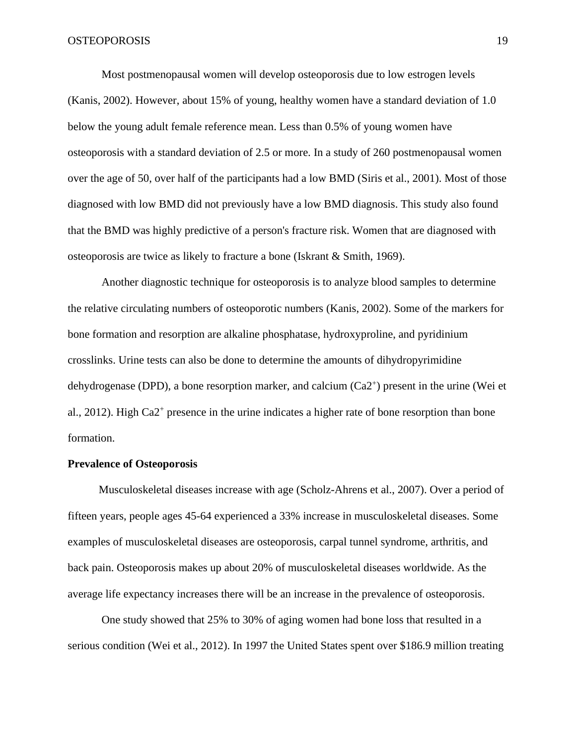Most postmenopausal women will develop osteoporosis due to low estrogen levels (Kanis, 2002). However, about 15% of young, healthy women have a standard deviation of 1.0 below the young adult female reference mean. Less than 0.5% of young women have osteoporosis with a standard deviation of 2.5 or more. In a study of 260 postmenopausal women over the age of 50, over half of the participants had a low BMD (Siris et al., 2001). Most of those diagnosed with low BMD did not previously have a low BMD diagnosis. This study also found that the BMD was highly predictive of a person's fracture risk. Women that are diagnosed with osteoporosis are twice as likely to fracture a bone (Iskrant & Smith, 1969).

Another diagnostic technique for osteoporosis is to analyze blood samples to determine the relative circulating numbers of osteoporotic numbers (Kanis, 2002). Some of the markers for bone formation and resorption are alkaline phosphatase, hydroxyproline, and pyridinium crosslinks. Urine tests can also be done to determine the amounts of dihydropyrimidine dehydrogenase (DPD), a bone resorption marker, and calcium (Ca2<sup>+</sup>) present in the urine (Wei et al., 2012). High Ca2<sup>+</sup> presence in the urine indicates a higher rate of bone resorption than bone formation.

#### **Prevalence of Osteoporosis**

Musculoskeletal diseases increase with age (Scholz-Ahrens et al., 2007). Over a period of fifteen years, people ages 45-64 experienced a 33% increase in musculoskeletal diseases. Some examples of musculoskeletal diseases are osteoporosis, carpal tunnel syndrome, arthritis, and back pain. Osteoporosis makes up about 20% of musculoskeletal diseases worldwide. As the average life expectancy increases there will be an increase in the prevalence of osteoporosis.

One study showed that 25% to 30% of aging women had bone loss that resulted in a serious condition (Wei et al., 2012). In 1997 the United States spent over \$186.9 million treating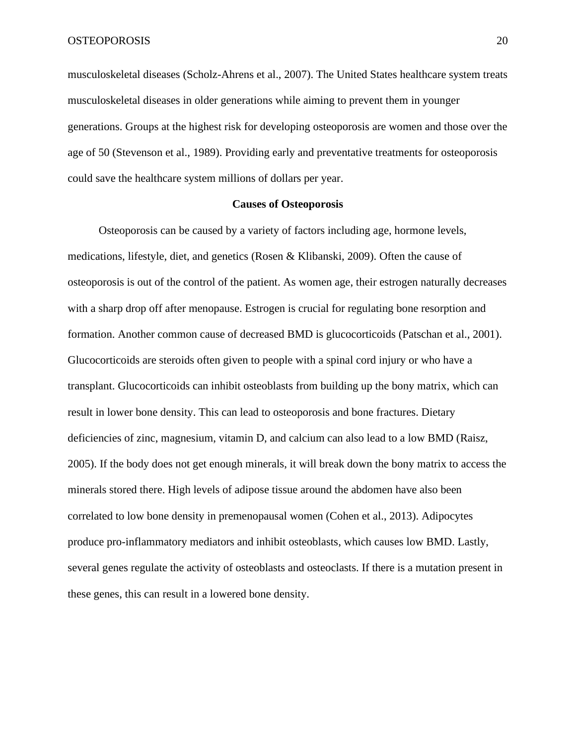musculoskeletal diseases (Scholz-Ahrens et al., 2007). The United States healthcare system treats musculoskeletal diseases in older generations while aiming to prevent them in younger generations. Groups at the highest risk for developing osteoporosis are women and those over the age of 50 (Stevenson et al., 1989). Providing early and preventative treatments for osteoporosis could save the healthcare system millions of dollars per year.

# **Causes of Osteoporosis**

Osteoporosis can be caused by a variety of factors including age, hormone levels, medications, lifestyle, diet, and genetics (Rosen & Klibanski, 2009). Often the cause of osteoporosis is out of the control of the patient. As women age, their estrogen naturally decreases with a sharp drop off after menopause. Estrogen is crucial for regulating bone resorption and formation. Another common cause of decreased BMD is glucocorticoids (Patschan et al., 2001). Glucocorticoids are steroids often given to people with a spinal cord injury or who have a transplant. Glucocorticoids can inhibit osteoblasts from building up the bony matrix, which can result in lower bone density. This can lead to osteoporosis and bone fractures. Dietary deficiencies of zinc, magnesium, vitamin D, and calcium can also lead to a low BMD (Raisz, 2005). If the body does not get enough minerals, it will break down the bony matrix to access the minerals stored there. High levels of adipose tissue around the abdomen have also been correlated to low bone density in premenopausal women (Cohen et al., 2013). Adipocytes produce pro-inflammatory mediators and inhibit osteoblasts, which causes low BMD. Lastly, several genes regulate the activity of osteoblasts and osteoclasts. If there is a mutation present in these genes, this can result in a lowered bone density.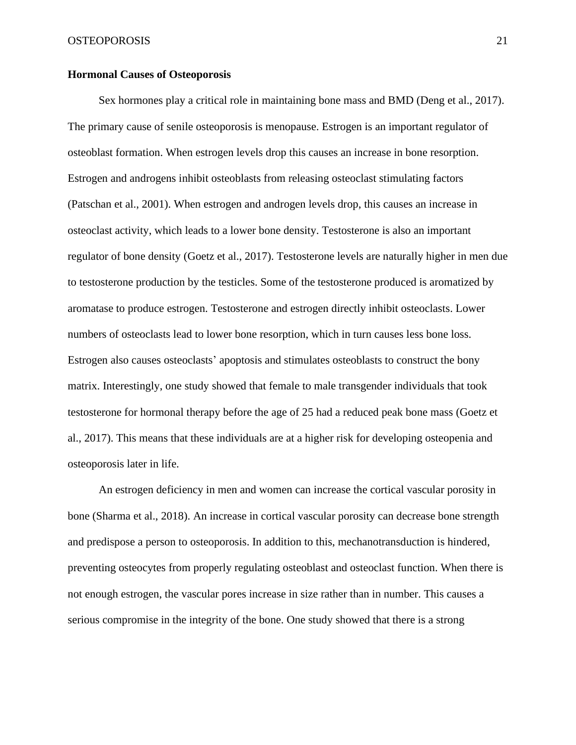# **Hormonal Causes of Osteoporosis**

Sex hormones play a critical role in maintaining bone mass and BMD (Deng et al., 2017). The primary cause of senile osteoporosis is menopause. Estrogen is an important regulator of osteoblast formation. When estrogen levels drop this causes an increase in bone resorption. Estrogen and androgens inhibit osteoblasts from releasing osteoclast stimulating factors (Patschan et al., 2001). When estrogen and androgen levels drop, this causes an increase in osteoclast activity, which leads to a lower bone density. Testosterone is also an important regulator of bone density (Goetz et al., 2017). Testosterone levels are naturally higher in men due to testosterone production by the testicles. Some of the testosterone produced is aromatized by aromatase to produce estrogen. Testosterone and estrogen directly inhibit osteoclasts. Lower numbers of osteoclasts lead to lower bone resorption, which in turn causes less bone loss. Estrogen also causes osteoclasts' apoptosis and stimulates osteoblasts to construct the bony matrix. Interestingly, one study showed that female to male transgender individuals that took testosterone for hormonal therapy before the age of 25 had a reduced peak bone mass (Goetz et al., 2017). This means that these individuals are at a higher risk for developing osteopenia and osteoporosis later in life.

An estrogen deficiency in men and women can increase the cortical vascular porosity in bone (Sharma et al., 2018). An increase in cortical vascular porosity can decrease bone strength and predispose a person to osteoporosis. In addition to this, mechanotransduction is hindered, preventing osteocytes from properly regulating osteoblast and osteoclast function. When there is not enough estrogen, the vascular pores increase in size rather than in number. This causes a serious compromise in the integrity of the bone. One study showed that there is a strong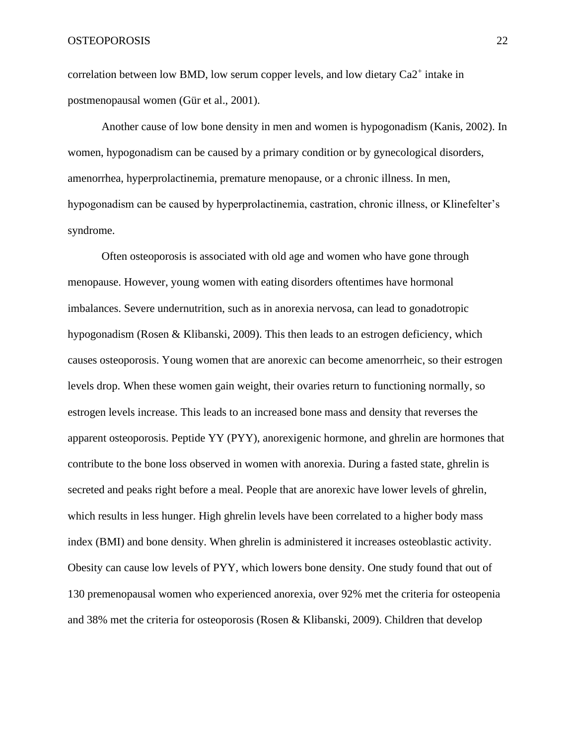correlation between low BMD, low serum copper levels, and low dietary  $Ca2^+$  intake in postmenopausal women (Gür et al., 2001).

Another cause of low bone density in men and women is hypogonadism (Kanis, 2002). In women, hypogonadism can be caused by a primary condition or by gynecological disorders, amenorrhea, hyperprolactinemia, premature menopause, or a chronic illness. In men, hypogonadism can be caused by hyperprolactinemia, castration, chronic illness, or Klinefelter's syndrome.

Often osteoporosis is associated with old age and women who have gone through menopause. However, young women with eating disorders oftentimes have hormonal imbalances. Severe undernutrition, such as in anorexia nervosa, can lead to gonadotropic hypogonadism (Rosen & Klibanski, 2009). This then leads to an estrogen deficiency, which causes osteoporosis. Young women that are anorexic can become amenorrheic, so their estrogen levels drop. When these women gain weight, their ovaries return to functioning normally, so estrogen levels increase. This leads to an increased bone mass and density that reverses the apparent osteoporosis. Peptide YY (PYY), anorexigenic hormone, and ghrelin are hormones that contribute to the bone loss observed in women with anorexia. During a fasted state, ghrelin is secreted and peaks right before a meal. People that are anorexic have lower levels of ghrelin, which results in less hunger. High ghrelin levels have been correlated to a higher body mass index (BMI) and bone density. When ghrelin is administered it increases osteoblastic activity. Obesity can cause low levels of PYY, which lowers bone density. One study found that out of 130 premenopausal women who experienced anorexia, over 92% met the criteria for osteopenia and 38% met the criteria for osteoporosis (Rosen & Klibanski, 2009). Children that develop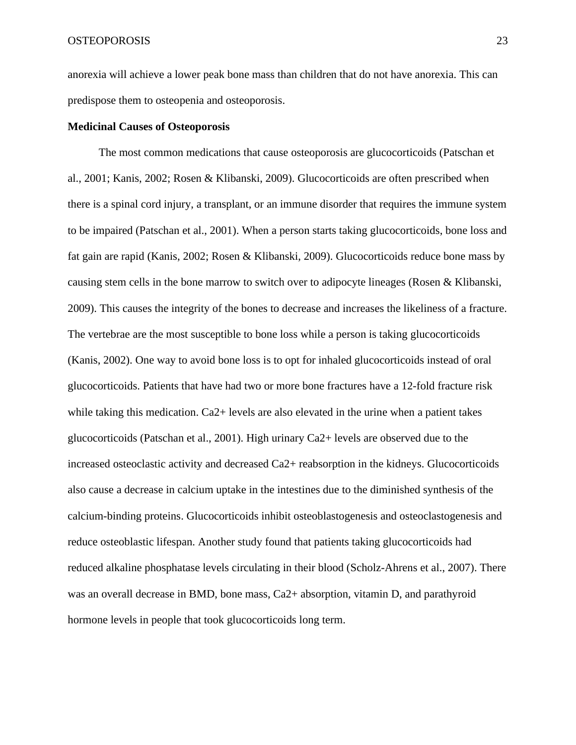anorexia will achieve a lower peak bone mass than children that do not have anorexia. This can predispose them to osteopenia and osteoporosis.

### **Medicinal Causes of Osteoporosis**

The most common medications that cause osteoporosis are glucocorticoids (Patschan et al., 2001; Kanis, 2002; Rosen & Klibanski, 2009). Glucocorticoids are often prescribed when there is a spinal cord injury, a transplant, or an immune disorder that requires the immune system to be impaired (Patschan et al., 2001). When a person starts taking glucocorticoids, bone loss and fat gain are rapid (Kanis, 2002; Rosen & Klibanski, 2009). Glucocorticoids reduce bone mass by causing stem cells in the bone marrow to switch over to adipocyte lineages (Rosen & Klibanski, 2009). This causes the integrity of the bones to decrease and increases the likeliness of a fracture. The vertebrae are the most susceptible to bone loss while a person is taking glucocorticoids (Kanis, 2002). One way to avoid bone loss is to opt for inhaled glucocorticoids instead of oral glucocorticoids. Patients that have had two or more bone fractures have a 12-fold fracture risk while taking this medication. Ca<sub>2+</sub> levels are also elevated in the urine when a patient takes glucocorticoids (Patschan et al., 2001). High urinary Ca2+ levels are observed due to the increased osteoclastic activity and decreased Ca2+ reabsorption in the kidneys. Glucocorticoids also cause a decrease in calcium uptake in the intestines due to the diminished synthesis of the calcium-binding proteins. Glucocorticoids inhibit osteoblastogenesis and osteoclastogenesis and reduce osteoblastic lifespan. Another study found that patients taking glucocorticoids had reduced alkaline phosphatase levels circulating in their blood (Scholz-Ahrens et al., 2007). There was an overall decrease in BMD, bone mass, Ca2+ absorption, vitamin D, and parathyroid hormone levels in people that took glucocorticoids long term.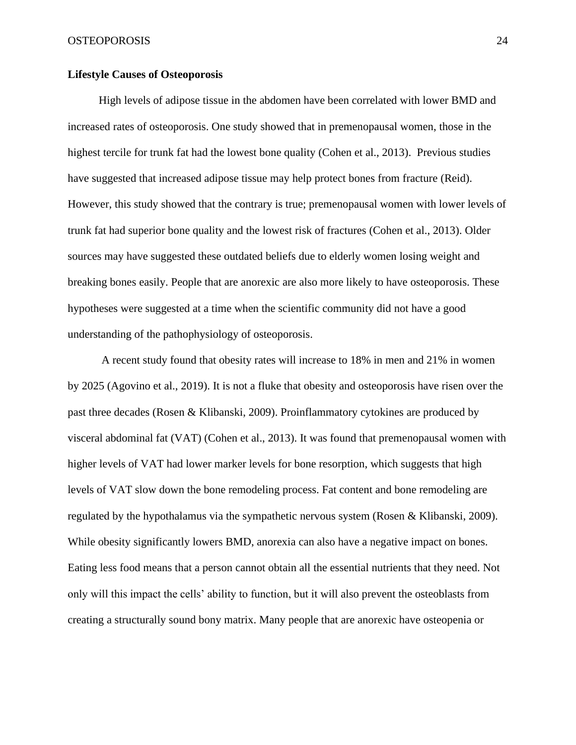# **Lifestyle Causes of Osteoporosis**

 High levels of adipose tissue in the abdomen have been correlated with lower BMD and increased rates of osteoporosis. One study showed that in premenopausal women, those in the highest tercile for trunk fat had the lowest bone quality (Cohen et al., 2013). Previous studies have suggested that increased adipose tissue may help protect bones from fracture (Reid). However, this study showed that the contrary is true; premenopausal women with lower levels of trunk fat had superior bone quality and the lowest risk of fractures (Cohen et al., 2013). Older sources may have suggested these outdated beliefs due to elderly women losing weight and breaking bones easily. People that are anorexic are also more likely to have osteoporosis. These hypotheses were suggested at a time when the scientific community did not have a good understanding of the pathophysiology of osteoporosis.

A recent study found that obesity rates will increase to 18% in men and 21% in women by 2025 (Agovino et al., 2019). It is not a fluke that obesity and osteoporosis have risen over the past three decades (Rosen & Klibanski, 2009). Proinflammatory cytokines are produced by visceral abdominal fat (VAT) (Cohen et al., 2013). It was found that premenopausal women with higher levels of VAT had lower marker levels for bone resorption, which suggests that high levels of VAT slow down the bone remodeling process. Fat content and bone remodeling are regulated by the hypothalamus via the sympathetic nervous system (Rosen & Klibanski, 2009). While obesity significantly lowers BMD, anorexia can also have a negative impact on bones. Eating less food means that a person cannot obtain all the essential nutrients that they need. Not only will this impact the cells' ability to function, but it will also prevent the osteoblasts from creating a structurally sound bony matrix. Many people that are anorexic have osteopenia or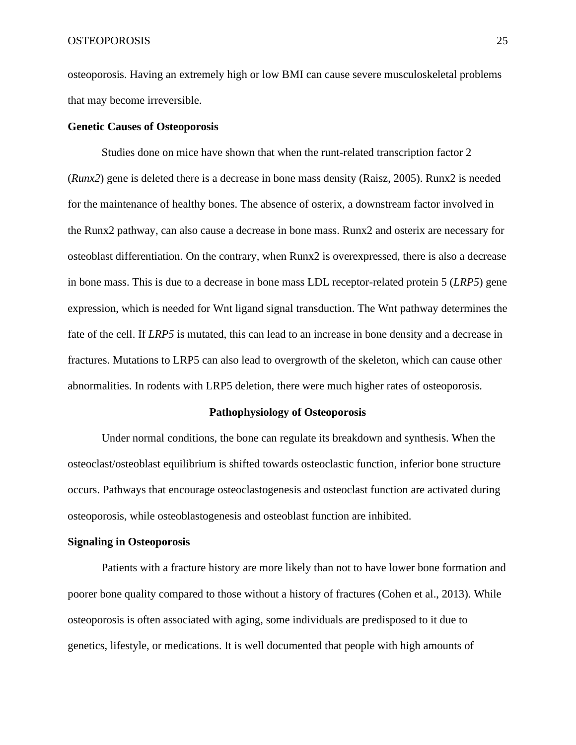osteoporosis. Having an extremely high or low BMI can cause severe musculoskeletal problems that may become irreversible.

### **Genetic Causes of Osteoporosis**

Studies done on mice have shown that when the runt-related transcription factor 2 (*Runx2*) gene is deleted there is a decrease in bone mass density (Raisz, 2005). Runx2 is needed for the maintenance of healthy bones. The absence of osterix, a downstream factor involved in the Runx2 pathway, can also cause a decrease in bone mass. Runx2 and osterix are necessary for osteoblast differentiation. On the contrary, when Runx2 is overexpressed, there is also a decrease in bone mass. This is due to a decrease in bone mass LDL receptor-related protein 5 (*LRP5*) gene expression, which is needed for Wnt ligand signal transduction. The Wnt pathway determines the fate of the cell. If *LRP5* is mutated, this can lead to an increase in bone density and a decrease in fractures. Mutations to LRP5 can also lead to overgrowth of the skeleton, which can cause other abnormalities. In rodents with LRP5 deletion, there were much higher rates of osteoporosis.

#### **Pathophysiology of Osteoporosis**

Under normal conditions, the bone can regulate its breakdown and synthesis. When the osteoclast/osteoblast equilibrium is shifted towards osteoclastic function, inferior bone structure occurs. Pathways that encourage osteoclastogenesis and osteoclast function are activated during osteoporosis, while osteoblastogenesis and osteoblast function are inhibited.

#### **Signaling in Osteoporosis**

Patients with a fracture history are more likely than not to have lower bone formation and poorer bone quality compared to those without a history of fractures (Cohen et al., 2013). While osteoporosis is often associated with aging, some individuals are predisposed to it due to genetics, lifestyle, or medications. It is well documented that people with high amounts of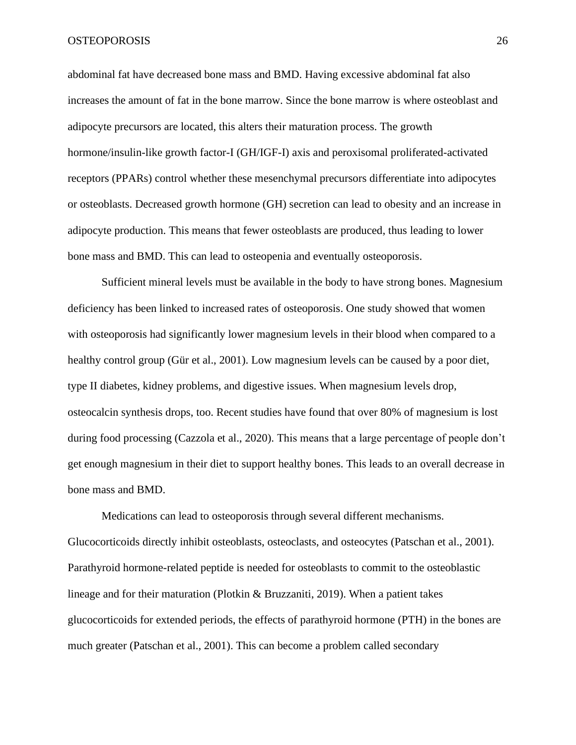abdominal fat have decreased bone mass and BMD. Having excessive abdominal fat also increases the amount of fat in the bone marrow. Since the bone marrow is where osteoblast and adipocyte precursors are located, this alters their maturation process. The growth hormone/insulin-like growth factor-I (GH/IGF-I) axis and peroxisomal proliferated-activated receptors (PPARs) control whether these mesenchymal precursors differentiate into adipocytes or osteoblasts. Decreased growth hormone (GH) secretion can lead to obesity and an increase in adipocyte production. This means that fewer osteoblasts are produced, thus leading to lower bone mass and BMD. This can lead to osteopenia and eventually osteoporosis.

Sufficient mineral levels must be available in the body to have strong bones. Magnesium deficiency has been linked to increased rates of osteoporosis. One study showed that women with osteoporosis had significantly lower magnesium levels in their blood when compared to a healthy control group (Gür et al., 2001). Low magnesium levels can be caused by a poor diet, type II diabetes, kidney problems, and digestive issues. When magnesium levels drop, osteocalcin synthesis drops, too. Recent studies have found that over 80% of magnesium is lost during food processing (Cazzola et al., 2020). This means that a large percentage of people don't get enough magnesium in their diet to support healthy bones. This leads to an overall decrease in bone mass and BMD.

Medications can lead to osteoporosis through several different mechanisms. Glucocorticoids directly inhibit osteoblasts, osteoclasts, and osteocytes (Patschan et al., 2001). Parathyroid hormone-related peptide is needed for osteoblasts to commit to the osteoblastic lineage and for their maturation (Plotkin & Bruzzaniti, 2019). When a patient takes glucocorticoids for extended periods, the effects of parathyroid hormone (PTH) in the bones are much greater (Patschan et al., 2001). This can become a problem called secondary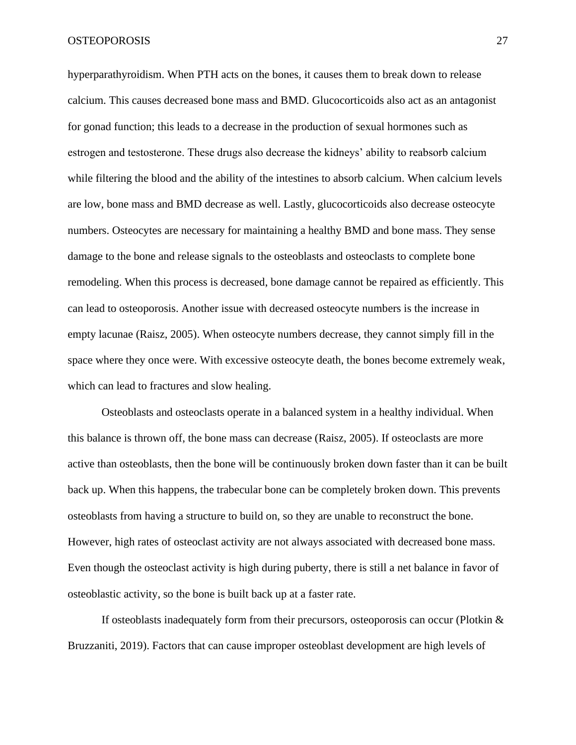hyperparathyroidism. When PTH acts on the bones, it causes them to break down to release calcium. This causes decreased bone mass and BMD. Glucocorticoids also act as an antagonist for gonad function; this leads to a decrease in the production of sexual hormones such as estrogen and testosterone. These drugs also decrease the kidneys' ability to reabsorb calcium while filtering the blood and the ability of the intestines to absorb calcium. When calcium levels are low, bone mass and BMD decrease as well. Lastly, glucocorticoids also decrease osteocyte numbers. Osteocytes are necessary for maintaining a healthy BMD and bone mass. They sense damage to the bone and release signals to the osteoblasts and osteoclasts to complete bone remodeling. When this process is decreased, bone damage cannot be repaired as efficiently. This can lead to osteoporosis. Another issue with decreased osteocyte numbers is the increase in empty lacunae (Raisz, 2005). When osteocyte numbers decrease, they cannot simply fill in the space where they once were. With excessive osteocyte death, the bones become extremely weak, which can lead to fractures and slow healing.

Osteoblasts and osteoclasts operate in a balanced system in a healthy individual. When this balance is thrown off, the bone mass can decrease (Raisz, 2005). If osteoclasts are more active than osteoblasts, then the bone will be continuously broken down faster than it can be built back up. When this happens, the trabecular bone can be completely broken down. This prevents osteoblasts from having a structure to build on, so they are unable to reconstruct the bone. However, high rates of osteoclast activity are not always associated with decreased bone mass. Even though the osteoclast activity is high during puberty, there is still a net balance in favor of osteoblastic activity, so the bone is built back up at a faster rate.

If osteoblasts inadequately form from their precursors, osteoporosis can occur (Plotkin  $\&$ Bruzzaniti, 2019). Factors that can cause improper osteoblast development are high levels of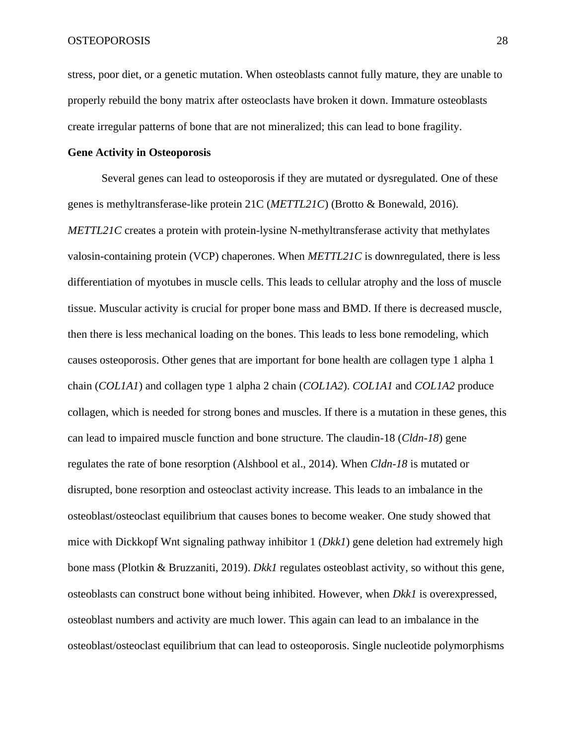stress, poor diet, or a genetic mutation. When osteoblasts cannot fully mature, they are unable to properly rebuild the bony matrix after osteoclasts have broken it down. Immature osteoblasts create irregular patterns of bone that are not mineralized; this can lead to bone fragility.

# **Gene Activity in Osteoporosis**

Several genes can lead to osteoporosis if they are mutated or dysregulated. One of these genes is methyltransferase-like protein 21C (*METTL21C*) (Brotto & Bonewald, 2016). *METTL21C* creates a protein with protein-lysine N-methyltransferase activity that methylates valosin-containing protein (VCP) chaperones. When *METTL21C* is downregulated, there is less differentiation of myotubes in muscle cells. This leads to cellular atrophy and the loss of muscle tissue. Muscular activity is crucial for proper bone mass and BMD. If there is decreased muscle, then there is less mechanical loading on the bones. This leads to less bone remodeling, which causes osteoporosis. Other genes that are important for bone health are collagen type 1 alpha 1 chain (*COL1A1*) and collagen type 1 alpha 2 chain (*COL1A2*). *COL1A1* and *COL1A2* produce collagen, which is needed for strong bones and muscles. If there is a mutation in these genes, this can lead to impaired muscle function and bone structure. The claudin-18 (*Cldn-18*) gene regulates the rate of bone resorption (Alshbool et al., 2014). When *Cldn-18* is mutated or disrupted, bone resorption and osteoclast activity increase. This leads to an imbalance in the osteoblast/osteoclast equilibrium that causes bones to become weaker. One study showed that mice with Dickkopf Wnt signaling pathway inhibitor 1 (*Dkk1*) gene deletion had extremely high bone mass (Plotkin & Bruzzaniti, 2019). *Dkk1* regulates osteoblast activity, so without this gene, osteoblasts can construct bone without being inhibited. However, when *Dkk1* is overexpressed, osteoblast numbers and activity are much lower. This again can lead to an imbalance in the osteoblast/osteoclast equilibrium that can lead to osteoporosis. Single nucleotide polymorphisms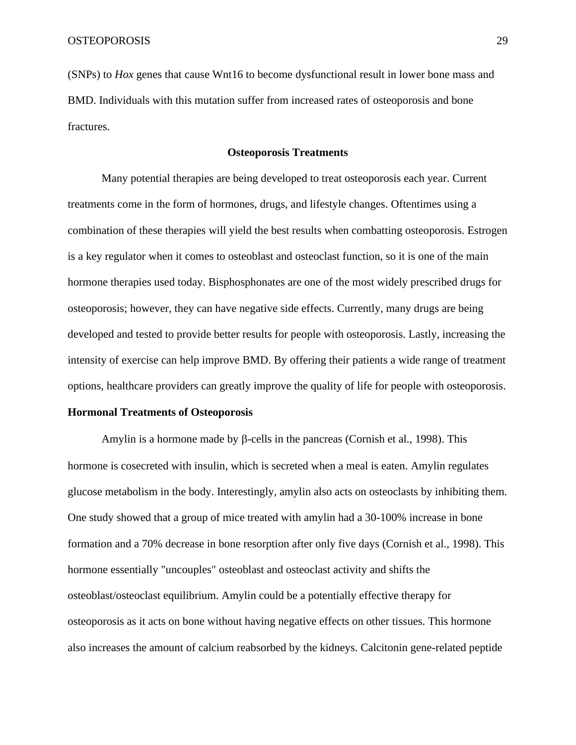(SNPs) to *Hox* genes that cause Wnt16 to become dysfunctional result in lower bone mass and BMD. Individuals with this mutation suffer from increased rates of osteoporosis and bone fractures.

# **Osteoporosis Treatments**

Many potential therapies are being developed to treat osteoporosis each year. Current treatments come in the form of hormones, drugs, and lifestyle changes. Oftentimes using a combination of these therapies will yield the best results when combatting osteoporosis. Estrogen is a key regulator when it comes to osteoblast and osteoclast function, so it is one of the main hormone therapies used today. Bisphosphonates are one of the most widely prescribed drugs for osteoporosis; however, they can have negative side effects. Currently, many drugs are being developed and tested to provide better results for people with osteoporosis. Lastly, increasing the intensity of exercise can help improve BMD. By offering their patients a wide range of treatment options, healthcare providers can greatly improve the quality of life for people with osteoporosis.

# **Hormonal Treatments of Osteoporosis**

Amylin is a hormone made by  $\beta$ -cells in the pancreas (Cornish et al., 1998). This hormone is cosecreted with insulin, which is secreted when a meal is eaten. Amylin regulates glucose metabolism in the body. Interestingly, amylin also acts on osteoclasts by inhibiting them. One study showed that a group of mice treated with amylin had a 30-100% increase in bone formation and a 70% decrease in bone resorption after only five days (Cornish et al., 1998). This hormone essentially "uncouples" osteoblast and osteoclast activity and shifts the osteoblast/osteoclast equilibrium. Amylin could be a potentially effective therapy for osteoporosis as it acts on bone without having negative effects on other tissues. This hormone also increases the amount of calcium reabsorbed by the kidneys. Calcitonin gene-related peptide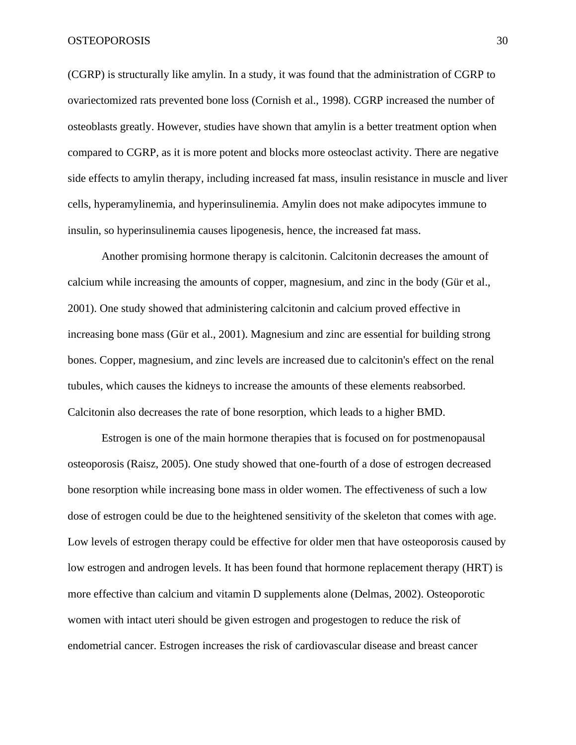(CGRP) is structurally like amylin. In a study, it was found that the administration of CGRP to ovariectomized rats prevented bone loss (Cornish et al., 1998). CGRP increased the number of osteoblasts greatly. However, studies have shown that amylin is a better treatment option when compared to CGRP, as it is more potent and blocks more osteoclast activity. There are negative side effects to amylin therapy, including increased fat mass, insulin resistance in muscle and liver cells, hyperamylinemia, and hyperinsulinemia. Amylin does not make adipocytes immune to insulin, so hyperinsulinemia causes lipogenesis, hence, the increased fat mass.

Another promising hormone therapy is calcitonin. Calcitonin decreases the amount of calcium while increasing the amounts of copper, magnesium, and zinc in the body (Gür et al., 2001). One study showed that administering calcitonin and calcium proved effective in increasing bone mass (Gür et al., 2001). Magnesium and zinc are essential for building strong bones. Copper, magnesium, and zinc levels are increased due to calcitonin's effect on the renal tubules, which causes the kidneys to increase the amounts of these elements reabsorbed. Calcitonin also decreases the rate of bone resorption, which leads to a higher BMD.

Estrogen is one of the main hormone therapies that is focused on for postmenopausal osteoporosis (Raisz, 2005). One study showed that one-fourth of a dose of estrogen decreased bone resorption while increasing bone mass in older women. The effectiveness of such a low dose of estrogen could be due to the heightened sensitivity of the skeleton that comes with age. Low levels of estrogen therapy could be effective for older men that have osteoporosis caused by low estrogen and androgen levels. It has been found that hormone replacement therapy (HRT) is more effective than calcium and vitamin D supplements alone (Delmas, 2002). Osteoporotic women with intact uteri should be given estrogen and progestogen to reduce the risk of endometrial cancer. Estrogen increases the risk of cardiovascular disease and breast cancer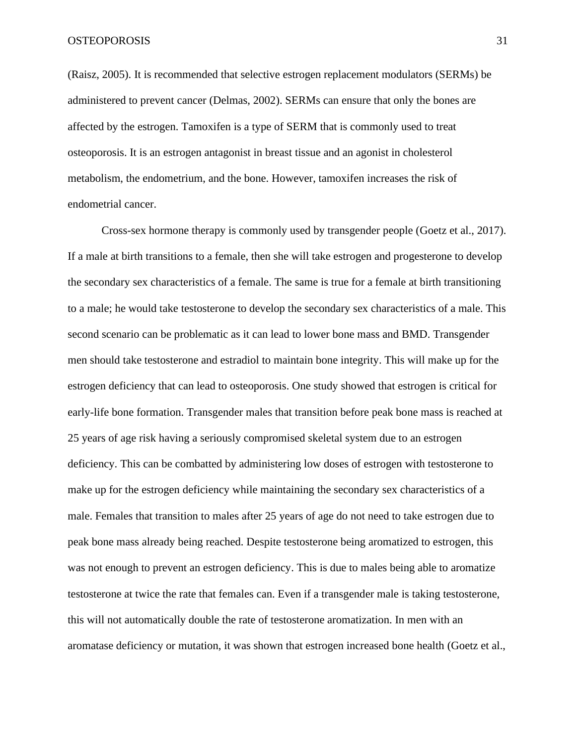(Raisz, 2005). It is recommended that selective estrogen replacement modulators (SERMs) be administered to prevent cancer (Delmas, 2002). SERMs can ensure that only the bones are affected by the estrogen. Tamoxifen is a type of SERM that is commonly used to treat osteoporosis. It is an estrogen antagonist in breast tissue and an agonist in cholesterol metabolism, the endometrium, and the bone. However, tamoxifen increases the risk of endometrial cancer.

Cross-sex hormone therapy is commonly used by transgender people (Goetz et al., 2017). If a male at birth transitions to a female, then she will take estrogen and progesterone to develop the secondary sex characteristics of a female. The same is true for a female at birth transitioning to a male; he would take testosterone to develop the secondary sex characteristics of a male. This second scenario can be problematic as it can lead to lower bone mass and BMD. Transgender men should take testosterone and estradiol to maintain bone integrity. This will make up for the estrogen deficiency that can lead to osteoporosis. One study showed that estrogen is critical for early-life bone formation. Transgender males that transition before peak bone mass is reached at 25 years of age risk having a seriously compromised skeletal system due to an estrogen deficiency. This can be combatted by administering low doses of estrogen with testosterone to make up for the estrogen deficiency while maintaining the secondary sex characteristics of a male. Females that transition to males after 25 years of age do not need to take estrogen due to peak bone mass already being reached. Despite testosterone being aromatized to estrogen, this was not enough to prevent an estrogen deficiency. This is due to males being able to aromatize testosterone at twice the rate that females can. Even if a transgender male is taking testosterone, this will not automatically double the rate of testosterone aromatization. In men with an aromatase deficiency or mutation, it was shown that estrogen increased bone health (Goetz et al.,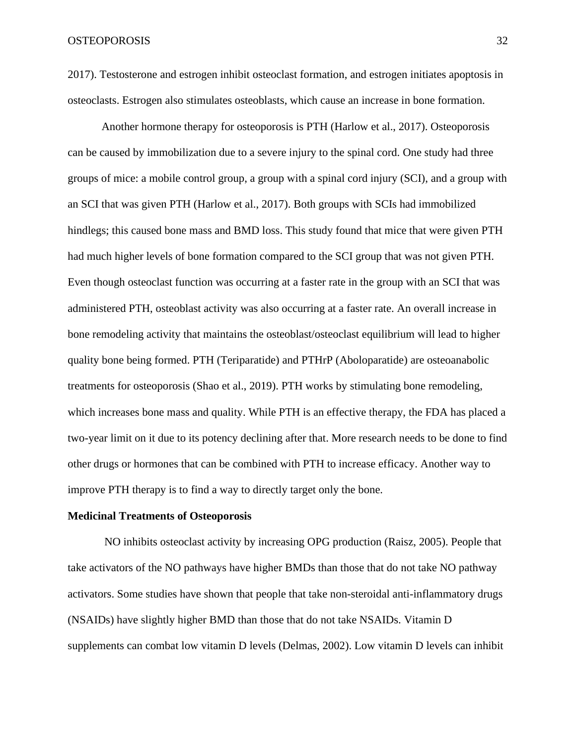2017). Testosterone and estrogen inhibit osteoclast formation, and estrogen initiates apoptosis in osteoclasts. Estrogen also stimulates osteoblasts, which cause an increase in bone formation.

Another hormone therapy for osteoporosis is PTH (Harlow et al., 2017). Osteoporosis can be caused by immobilization due to a severe injury to the spinal cord. One study had three groups of mice: a mobile control group, a group with a spinal cord injury (SCI), and a group with an SCI that was given PTH (Harlow et al., 2017). Both groups with SCIs had immobilized hindlegs; this caused bone mass and BMD loss. This study found that mice that were given PTH had much higher levels of bone formation compared to the SCI group that was not given PTH. Even though osteoclast function was occurring at a faster rate in the group with an SCI that was administered PTH, osteoblast activity was also occurring at a faster rate. An overall increase in bone remodeling activity that maintains the osteoblast/osteoclast equilibrium will lead to higher quality bone being formed. PTH (Teriparatide) and PTHrP (Aboloparatide) are osteoanabolic treatments for osteoporosis (Shao et al., 2019). PTH works by stimulating bone remodeling, which increases bone mass and quality. While PTH is an effective therapy, the FDA has placed a two-year limit on it due to its potency declining after that. More research needs to be done to find other drugs or hormones that can be combined with PTH to increase efficacy. Another way to improve PTH therapy is to find a way to directly target only the bone.

#### **Medicinal Treatments of Osteoporosis**

NO inhibits osteoclast activity by increasing OPG production (Raisz, 2005). People that take activators of the NO pathways have higher BMDs than those that do not take NO pathway activators. Some studies have shown that people that take non-steroidal anti-inflammatory drugs (NSAIDs) have slightly higher BMD than those that do not take NSAIDs. Vitamin D supplements can combat low vitamin D levels (Delmas, 2002). Low vitamin D levels can inhibit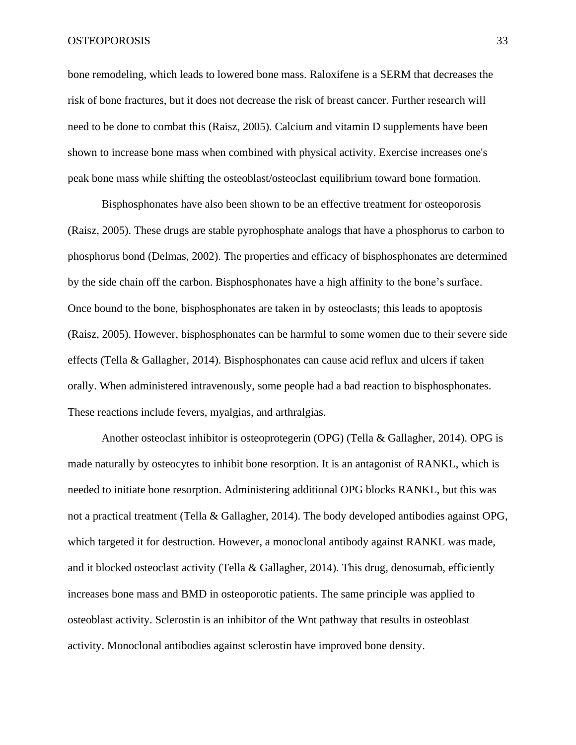bone remodeling, which leads to lowered bone mass. Raloxifene is a SERM that decreases the risk of bone fractures, but it does not decrease the risk of breast cancer. Further research will need to be done to combat this (Raisz, 2005). Calcium and vitamin D supplements have been shown to increase bone mass when combined with physical activity. Exercise increases one's peak bone mass while shifting the osteoblast/osteoclast equilibrium toward bone formation.

Bisphosphonates have also been shown to be an effective treatment for osteoporosis (Raisz, 2005). These drugs are stable pyrophosphate analogs that have a phosphorus to carbon to phosphorus bond (Delmas, 2002). The properties and efficacy of bisphosphonates are determined by the side chain off the carbon. Bisphosphonates have a high affinity to the bone's surface. Once bound to the bone, bisphosphonates are taken in by osteoclasts; this leads to apoptosis (Raisz, 2005). However, bisphosphonates can be harmful to some women due to their severe side effects (Tella & Gallagher, 2014). Bisphosphonates can cause acid reflux and ulcers if taken orally. When administered intravenously, some people had a bad reaction to bisphosphonates. These reactions include fevers, myalgias, and arthralgias.

Another osteoclast inhibitor is osteoprotegerin (OPG) (Tella & Gallagher, 2014). OPG is made naturally by osteocytes to inhibit bone resorption. It is an antagonist of RANKL, which is needed to initiate bone resorption. Administering additional OPG blocks RANKL, but this was not a practical treatment (Tella & Gallagher, 2014). The body developed antibodies against OPG, which targeted it for destruction. However, a monoclonal antibody against RANKL was made, and it blocked osteoclast activity (Tella & Gallagher, 2014). This drug, denosumab, efficiently increases bone mass and BMD in osteoporotic patients. The same principle was applied to osteoblast activity. Sclerostin is an inhibitor of the Wnt pathway that results in osteoblast activity. Monoclonal antibodies against sclerostin have improved bone density.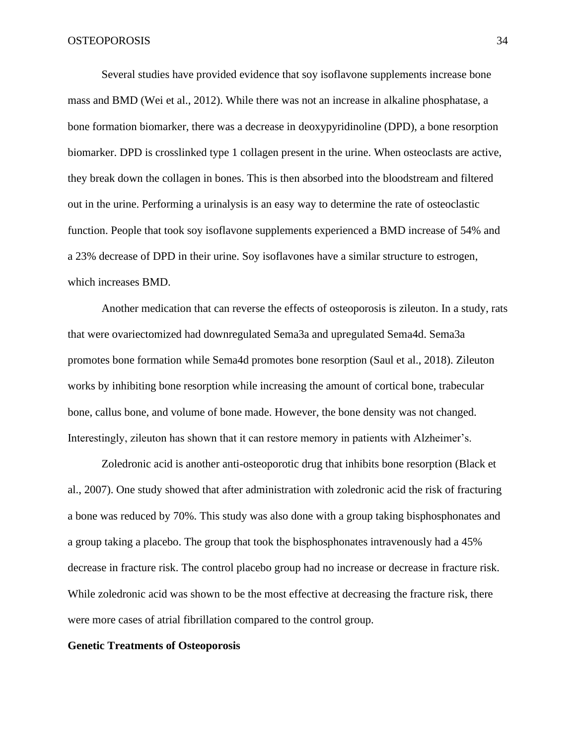Several studies have provided evidence that soy isoflavone supplements increase bone mass and BMD (Wei et al., 2012). While there was not an increase in alkaline phosphatase, a bone formation biomarker, there was a decrease in deoxypyridinoline (DPD), a bone resorption biomarker. DPD is crosslinked type 1 collagen present in the urine. When osteoclasts are active, they break down the collagen in bones. This is then absorbed into the bloodstream and filtered out in the urine. Performing a urinalysis is an easy way to determine the rate of osteoclastic function. People that took soy isoflavone supplements experienced a BMD increase of 54% and a 23% decrease of DPD in their urine. Soy isoflavones have a similar structure to estrogen, which increases BMD.

Another medication that can reverse the effects of osteoporosis is zileuton. In a study, rats that were ovariectomized had downregulated Sema3a and upregulated Sema4d. Sema3a promotes bone formation while Sema4d promotes bone resorption (Saul et al., 2018). Zileuton works by inhibiting bone resorption while increasing the amount of cortical bone, trabecular bone, callus bone, and volume of bone made. However, the bone density was not changed. Interestingly, zileuton has shown that it can restore memory in patients with Alzheimer's.

Zoledronic acid is another anti-osteoporotic drug that inhibits bone resorption (Black et al., 2007). One study showed that after administration with zoledronic acid the risk of fracturing a bone was reduced by 70%. This study was also done with a group taking bisphosphonates and a group taking a placebo. The group that took the bisphosphonates intravenously had a 45% decrease in fracture risk. The control placebo group had no increase or decrease in fracture risk. While zoledronic acid was shown to be the most effective at decreasing the fracture risk, there were more cases of atrial fibrillation compared to the control group.

## **Genetic Treatments of Osteoporosis**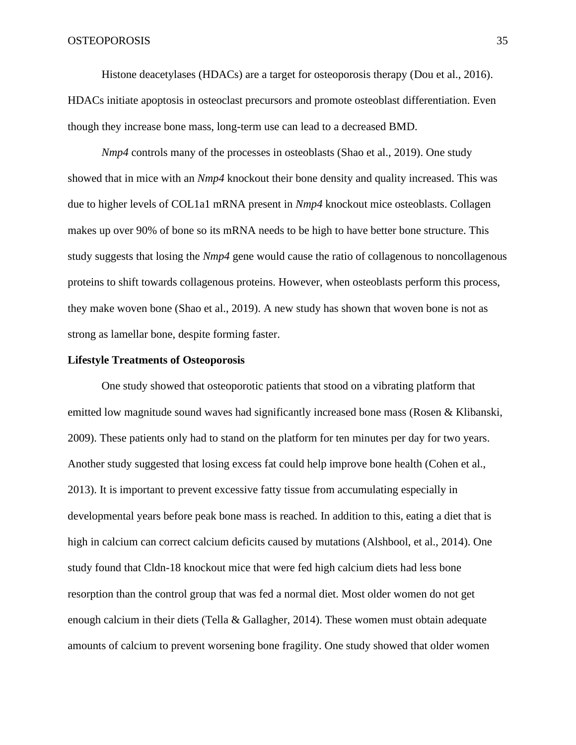Histone deacetylases (HDACs) are a target for osteoporosis therapy (Dou et al., 2016). HDACs initiate apoptosis in osteoclast precursors and promote osteoblast differentiation. Even though they increase bone mass, long-term use can lead to a decreased BMD.

*Nmp4* controls many of the processes in osteoblasts (Shao et al., 2019). One study showed that in mice with an *Nmp4* knockout their bone density and quality increased. This was due to higher levels of COL1a1 mRNA present in *Nmp4* knockout mice osteoblasts. Collagen makes up over 90% of bone so its mRNA needs to be high to have better bone structure. This study suggests that losing the *Nmp4* gene would cause the ratio of collagenous to noncollagenous proteins to shift towards collagenous proteins. However, when osteoblasts perform this process, they make woven bone (Shao et al., 2019). A new study has shown that woven bone is not as strong as lamellar bone, despite forming faster.

### **Lifestyle Treatments of Osteoporosis**

One study showed that osteoporotic patients that stood on a vibrating platform that emitted low magnitude sound waves had significantly increased bone mass (Rosen & Klibanski, 2009). These patients only had to stand on the platform for ten minutes per day for two years. Another study suggested that losing excess fat could help improve bone health (Cohen et al., 2013). It is important to prevent excessive fatty tissue from accumulating especially in developmental years before peak bone mass is reached. In addition to this, eating a diet that is high in calcium can correct calcium deficits caused by mutations (Alshbool, et al., 2014). One study found that Cldn-18 knockout mice that were fed high calcium diets had less bone resorption than the control group that was fed a normal diet. Most older women do not get enough calcium in their diets (Tella & Gallagher, 2014). These women must obtain adequate amounts of calcium to prevent worsening bone fragility. One study showed that older women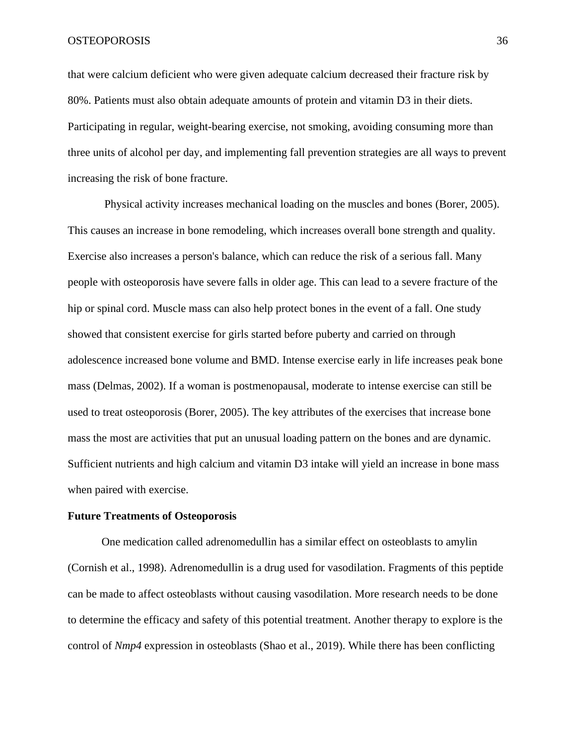that were calcium deficient who were given adequate calcium decreased their fracture risk by 80%. Patients must also obtain adequate amounts of protein and vitamin D3 in their diets. Participating in regular, weight-bearing exercise, not smoking, avoiding consuming more than three units of alcohol per day, and implementing fall prevention strategies are all ways to prevent increasing the risk of bone fracture.

Physical activity increases mechanical loading on the muscles and bones (Borer, 2005). This causes an increase in bone remodeling, which increases overall bone strength and quality. Exercise also increases a person's balance, which can reduce the risk of a serious fall. Many people with osteoporosis have severe falls in older age. This can lead to a severe fracture of the hip or spinal cord. Muscle mass can also help protect bones in the event of a fall. One study showed that consistent exercise for girls started before puberty and carried on through adolescence increased bone volume and BMD. Intense exercise early in life increases peak bone mass (Delmas, 2002). If a woman is postmenopausal, moderate to intense exercise can still be used to treat osteoporosis (Borer, 2005). The key attributes of the exercises that increase bone mass the most are activities that put an unusual loading pattern on the bones and are dynamic. Sufficient nutrients and high calcium and vitamin D3 intake will yield an increase in bone mass when paired with exercise.

## **Future Treatments of Osteoporosis**

One medication called adrenomedullin has a similar effect on osteoblasts to amylin (Cornish et al., 1998). Adrenomedullin is a drug used for vasodilation. Fragments of this peptide can be made to affect osteoblasts without causing vasodilation. More research needs to be done to determine the efficacy and safety of this potential treatment. Another therapy to explore is the control of *Nmp4* expression in osteoblasts (Shao et al., 2019). While there has been conflicting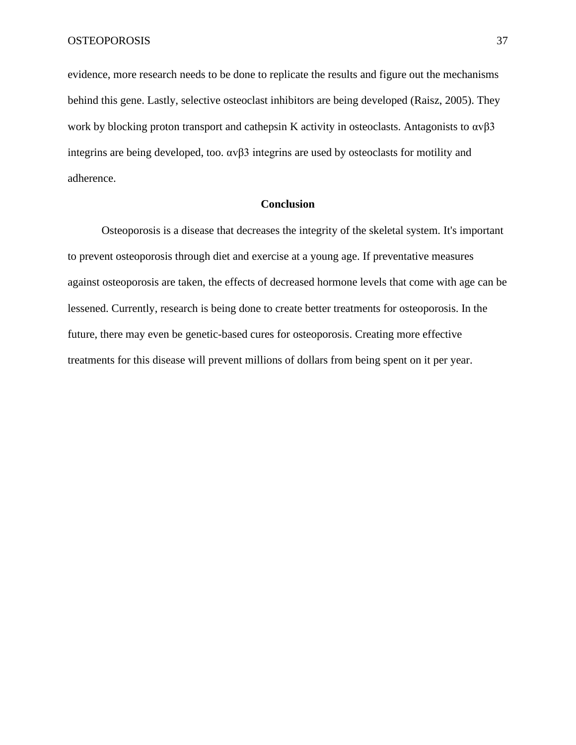evidence, more research needs to be done to replicate the results and figure out the mechanisms behind this gene. Lastly, selective osteoclast inhibitors are being developed (Raisz, 2005). They work by blocking proton transport and cathepsin K activity in osteoclasts. Antagonists to  $\alpha v \beta 3$ integrins are being developed, too.  $\alpha \nu \beta$ 3 integrins are used by osteoclasts for motility and adherence.

# **Conclusion**

Osteoporosis is a disease that decreases the integrity of the skeletal system. It's important to prevent osteoporosis through diet and exercise at a young age. If preventative measures against osteoporosis are taken, the effects of decreased hormone levels that come with age can be lessened. Currently, research is being done to create better treatments for osteoporosis. In the future, there may even be genetic-based cures for osteoporosis. Creating more effective treatments for this disease will prevent millions of dollars from being spent on it per year.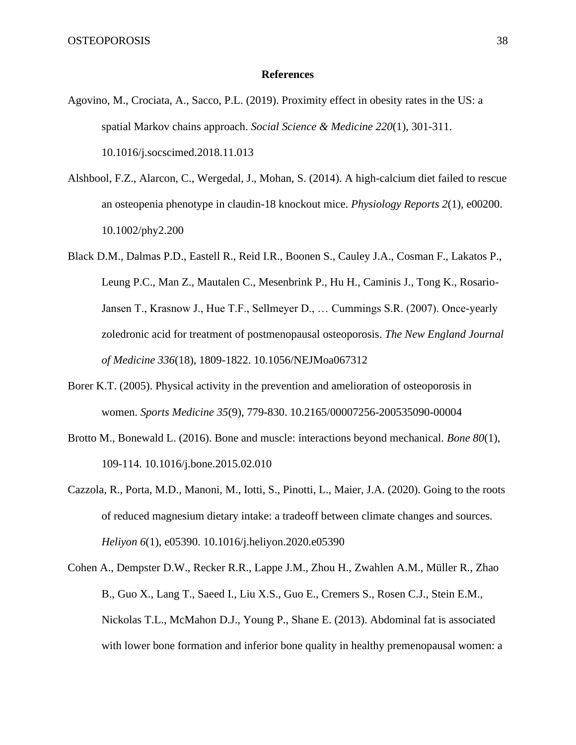### **References**

- Agovino, M., Crociata, A., Sacco, P.L. (2019). Proximity effect in obesity rates in the US: a spatial Markov chains approach. *Social Science & Medicine 220*(1), 301-311. 10.1016/j.socscimed.2018.11.013
- Alshbool, F.Z., Alarcon, C., Wergedal, J., Mohan, S. (2014). A high-calcium diet failed to rescue an osteopenia phenotype in claudin-18 knockout mice. *Physiology Reports 2*(1), e00200. 10.1002/phy2.200
- Black D.M., Dalmas P.D., Eastell R., Reid I.R., Boonen S., Cauley J.A., Cosman F., Lakatos P., Leung P.C., Man Z., Mautalen C., Mesenbrink P., Hu H., Caminis J., Tong K., Rosario-Jansen T., Krasnow J., Hue T.F., Sellmeyer D., … Cummings S.R. (2007). Once-yearly zoledronic acid for treatment of postmenopausal osteoporosis. *The New England Journal of Medicine 336*(18), 1809-1822. 10.1056/NEJMoa067312
- Borer K.T. (2005). Physical activity in the prevention and amelioration of osteoporosis in women. *Sports Medicine 35*(9), 779-830. 10.2165/00007256-200535090-00004
- Brotto M., Bonewald L. (2016). Bone and muscle: interactions beyond mechanical. *Bone 80*(1), 109-114. 10.1016/j.bone.2015.02.010
- Cazzola, R., Porta, M.D., Manoni, M., Iotti, S., Pinotti, L., Maier, J.A. (2020). Going to the roots of reduced magnesium dietary intake: a tradeoff between climate changes and sources. *Heliyon 6*(1), e05390. 10.1016/j.heliyon.2020.e05390
- Cohen A., Dempster D.W., Recker R.R., Lappe J.M., Zhou H., Zwahlen A.M., Müller R., Zhao B., Guo X., Lang T., Saeed I., Liu X.S., Guo E., Cremers S., Rosen C.J., Stein E.M., Nickolas T.L., McMahon D.J., Young P., Shane E. (2013). Abdominal fat is associated with lower bone formation and inferior bone quality in healthy premenopausal women: a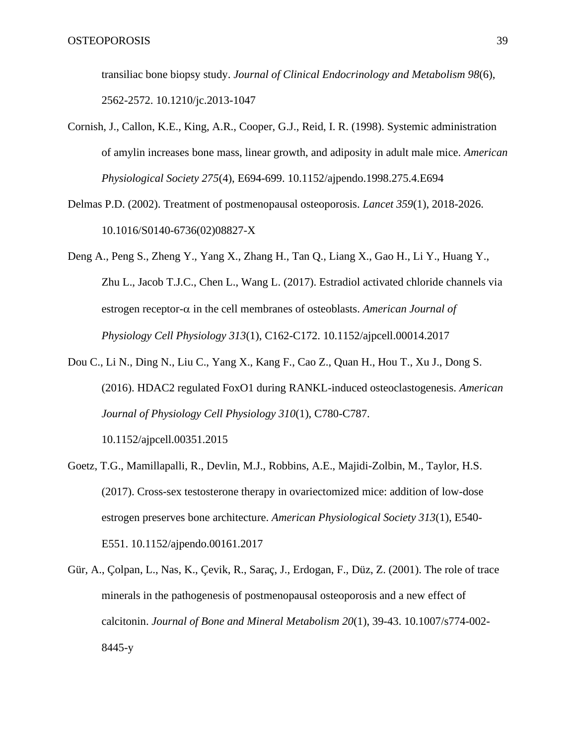transiliac bone biopsy study. *Journal of Clinical Endocrinology and Metabolism 98*(6), 2562-2572. 10.1210/jc.2013-1047

- Cornish, J., Callon, K.E., King, A.R., Cooper, G.J., Reid, I. R. (1998). Systemic administration of amylin increases bone mass, linear growth, and adiposity in adult male mice. *American Physiological Society 275*(4), E694-699. 10.1152/ajpendo.1998.275.4.E694
- Delmas P.D. (2002). Treatment of postmenopausal osteoporosis. *Lancet 359*(1), 2018-2026. 10.1016/S0140-6736(02)08827-X
- Deng A., Peng S., Zheng Y., Yang X., Zhang H., Tan Q., Liang X., Gao H., Li Y., Huang Y., Zhu L., Jacob T.J.C., Chen L., Wang L. (2017). Estradiol activated chloride channels via estrogen receptor- $\alpha$  in the cell membranes of osteoblasts. *American Journal of Physiology Cell Physiology 313*(1), C162-C172. 10.1152/ajpcell.00014.2017
- Dou C., Li N., Ding N., Liu C., Yang X., Kang F., Cao Z., Quan H., Hou T., Xu J., Dong S. (2016). HDAC2 regulated FoxO1 during RANKL-induced osteoclastogenesis. *American Journal of Physiology Cell Physiology 310*(1), C780-C787.

10.1152/ajpcell.00351.2015

- Goetz, T.G., Mamillapalli, R., Devlin, M.J., Robbins, A.E., Majidi-Zolbin, M., Taylor, H.S. (2017). Cross-sex testosterone therapy in ovariectomized mice: addition of low-dose estrogen preserves bone architecture. *American Physiological Society 313*(1), E540- E551. 10.1152/ajpendo.00161.2017
- Gür, A., Çolpan, L., Nas, K., Çevik, R., Saraç, J., Erdogan, F., Düz, Z. (2001). The role of trace minerals in the pathogenesis of postmenopausal osteoporosis and a new effect of calcitonin. *Journal of Bone and Mineral Metabolism 20*(1), 39-43. 10.1007/s774-002- 8445-y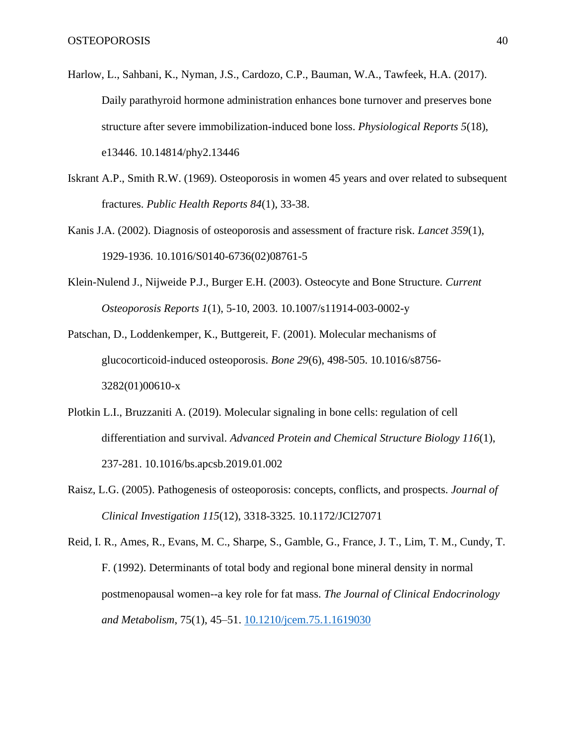- Harlow, L., Sahbani, K., Nyman, J.S., Cardozo, C.P., Bauman, W.A., Tawfeek, H.A. (2017). Daily parathyroid hormone administration enhances bone turnover and preserves bone structure after severe immobilization-induced bone loss. *Physiological Reports 5*(18), e13446. 10.14814/phy2.13446
- Iskrant A.P., Smith R.W. (1969). Osteoporosis in women 45 years and over related to subsequent fractures. *Public Health Reports 84*(1), 33-38.
- Kanis J.A. (2002). Diagnosis of osteoporosis and assessment of fracture risk. *Lancet 359*(1), 1929-1936. 10.1016/S0140-6736(02)08761-5
- Klein-Nulend J., Nijweide P.J., Burger E.H. (2003). Osteocyte and Bone Structure*. Current Osteoporosis Reports 1*(1), 5-10, 2003. 10.1007/s11914-003-0002-y
- Patschan, D., Loddenkemper, K., Buttgereit, F. (2001). Molecular mechanisms of glucocorticoid-induced osteoporosis. *Bone 29*(6), 498-505. 10.1016/s8756- 3282(01)00610-x
- Plotkin L.I., Bruzzaniti A. (2019). Molecular signaling in bone cells: regulation of cell differentiation and survival. *Advanced Protein and Chemical Structure Biology 116*(1), 237-281. 10.1016/bs.apcsb.2019.01.002
- Raisz, L.G. (2005). Pathogenesis of osteoporosis: concepts, conflicts, and prospects. *Journal of Clinical Investigation 115*(12), 3318-3325. 10.1172/JCI27071
- Reid, I. R., Ames, R., Evans, M. C., Sharpe, S., Gamble, G., France, J. T., Lim, T. M., Cundy, T. F. (1992). Determinants of total body and regional bone mineral density in normal postmenopausal women--a key role for fat mass. *The Journal of Clinical Endocrinology and Metabolism*, 75(1), 45–51. [10.1210/jcem.75.1.1619030](https://doi.org/10.1210/jcem.75.1.1619030)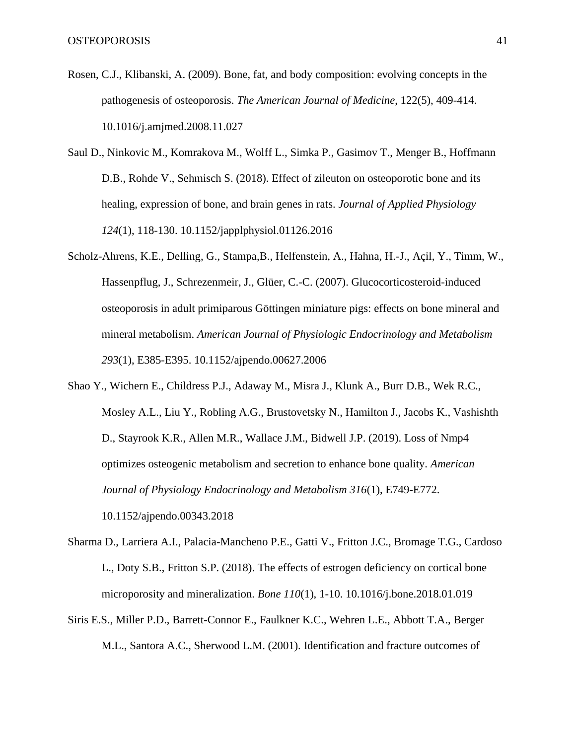- Rosen, C.J., Klibanski, A. (2009). Bone, fat, and body composition: evolving concepts in the pathogenesis of osteoporosis. *The American Journal of Medicine*, 122(5), 409-414. 10.1016/j.amjmed.2008.11.027
- Saul D., Ninkovic M., Komrakova M., Wolff L., Simka P., Gasimov T., Menger B., Hoffmann D.B., Rohde V., Sehmisch S. (2018). Effect of zileuton on osteoporotic bone and its healing, expression of bone, and brain genes in rats. *Journal of Applied Physiology 124*(1), 118-130. 10.1152/japplphysiol.01126.2016
- Scholz-Ahrens, K.E., Delling, G., Stampa,B., Helfenstein, A., Hahna, H.-J., Açil, Y., Timm, W., Hassenpflug, J., Schrezenmeir, J., Glüer, C.-C. (2007). Glucocorticosteroid-induced osteoporosis in adult primiparous Göttingen miniature pigs: effects on bone mineral and mineral metabolism. *American Journal of Physiologic Endocrinology and Metabolism 293*(1), E385-E395. 10.1152/ajpendo.00627.2006
- Shao Y., Wichern E., Childress P.J., Adaway M., Misra J., Klunk A., Burr D.B., Wek R.C., Mosley A.L., Liu Y., Robling A.G., Brustovetsky N., Hamilton J., Jacobs K., Vashishth D., Stayrook K.R., Allen M.R., Wallace J.M., Bidwell J.P. (2019). Loss of Nmp4 optimizes osteogenic metabolism and secretion to enhance bone quality. *American Journal of Physiology Endocrinology and Metabolism 316*(1), E749-E772. 10.1152/ajpendo.00343.2018
- Sharma D., Larriera A.I., Palacia-Mancheno P.E., Gatti V., Fritton J.C., Bromage T.G., Cardoso L., Doty S.B., Fritton S.P. (2018). The effects of estrogen deficiency on cortical bone microporosity and mineralization. *Bone 110*(1), 1-10. 10.1016/j.bone.2018.01.019
- Siris E.S., Miller P.D., Barrett-Connor E., Faulkner K.C., Wehren L.E., Abbott T.A., Berger M.L., Santora A.C., Sherwood L.M. (2001). Identification and fracture outcomes of